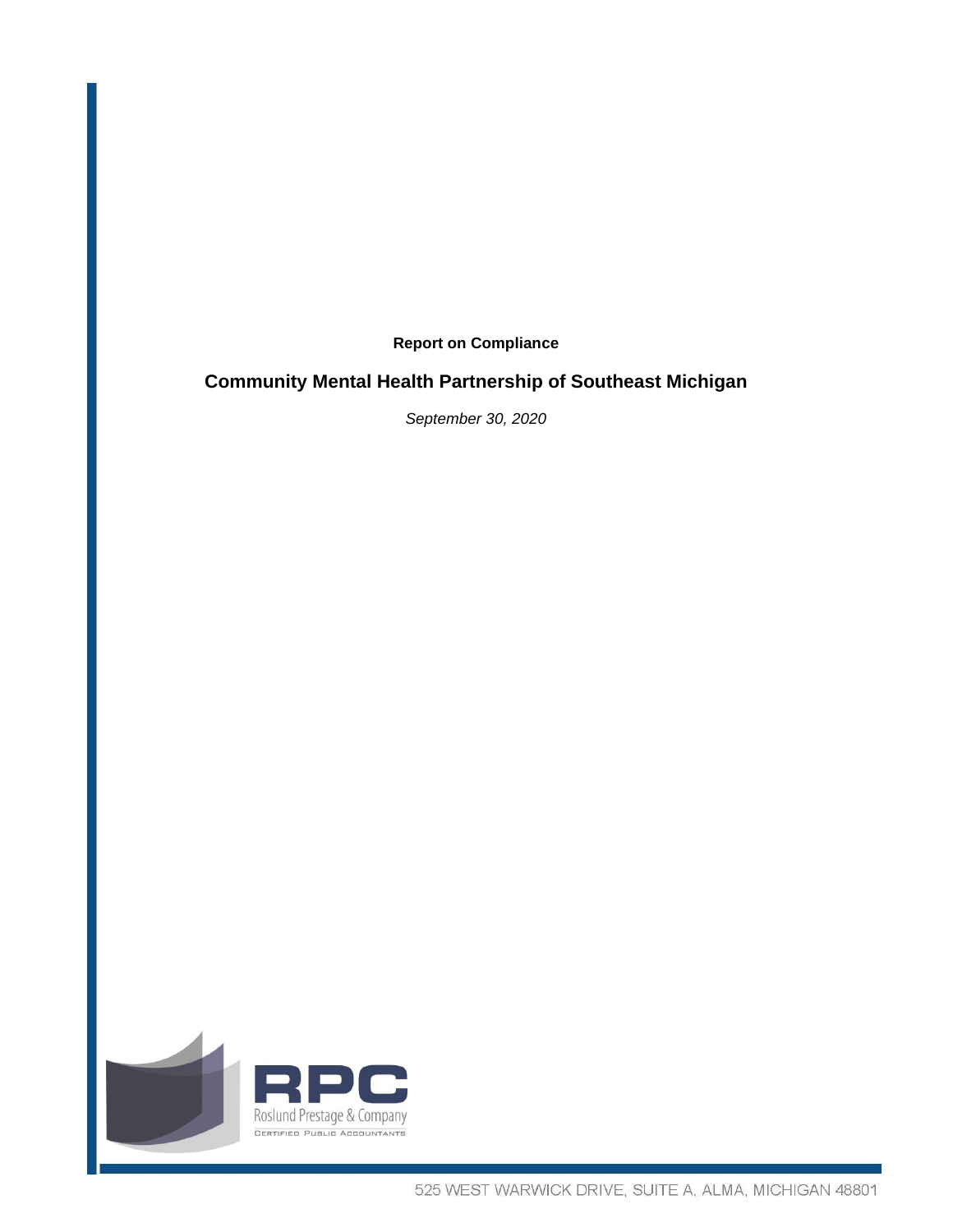**Report on Compliance**

#### **Community Mental Health Partnership of Southeast Michigan**

*September 30, 2020*

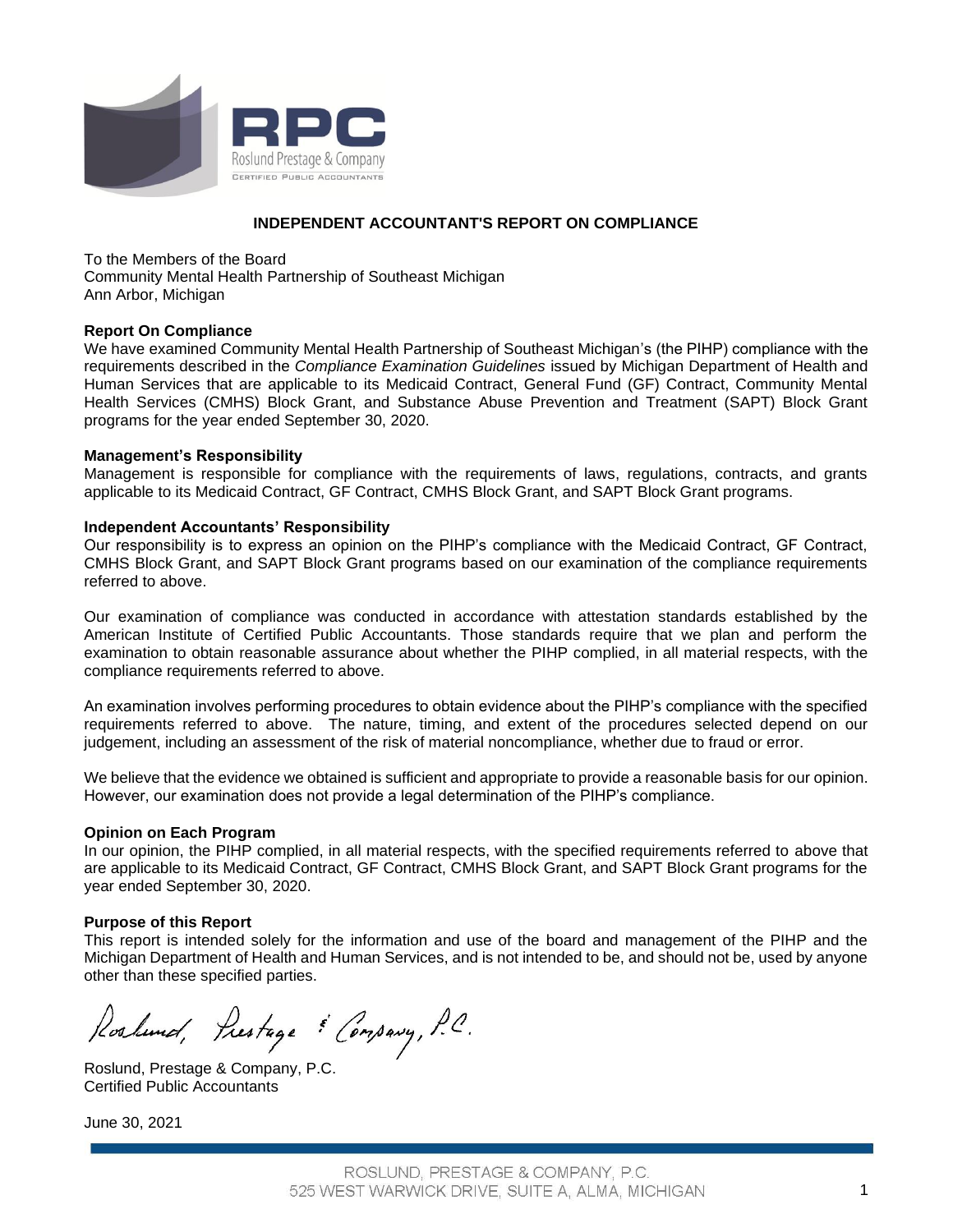

#### **INDEPENDENT ACCOUNTANT'S REPORT ON COMPLIANCE**

To the Members of the Board Community Mental Health Partnership of Southeast Michigan Ann Arbor, Michigan

#### **Report On Compliance**

We have examined Community Mental Health Partnership of Southeast Michigan's (the PIHP) compliance with the requirements described in the *Compliance Examination Guidelines* issued by Michigan Department of Health and Human Services that are applicable to its Medicaid Contract, General Fund (GF) Contract, Community Mental Health Services (CMHS) Block Grant, and Substance Abuse Prevention and Treatment (SAPT) Block Grant programs for the year ended September 30, 2020.

#### **Management's Responsibility**

Management is responsible for compliance with the requirements of laws, regulations, contracts, and grants applicable to its Medicaid Contract, GF Contract, CMHS Block Grant, and SAPT Block Grant programs.

#### **Independent Accountants' Responsibility**

Our responsibility is to express an opinion on the PIHP's compliance with the Medicaid Contract, GF Contract, CMHS Block Grant, and SAPT Block Grant programs based on our examination of the compliance requirements referred to above.

Our examination of compliance was conducted in accordance with attestation standards established by the American Institute of Certified Public Accountants. Those standards require that we plan and perform the examination to obtain reasonable assurance about whether the PIHP complied, in all material respects, with the compliance requirements referred to above.

An examination involves performing procedures to obtain evidence about the PIHP's compliance with the specified requirements referred to above. The nature, timing, and extent of the procedures selected depend on our judgement, including an assessment of the risk of material noncompliance, whether due to fraud or error.

We believe that the evidence we obtained is sufficient and appropriate to provide a reasonable basis for our opinion. However, our examination does not provide a legal determination of the PIHP's compliance.

#### **Opinion on Each Program**

In our opinion, the PIHP complied, in all material respects, with the specified requirements referred to above that are applicable to its Medicaid Contract, GF Contract, CMHS Block Grant, and SAPT Block Grant programs for the year ended September 30, 2020.

#### **Purpose of this Report**

This report is intended solely for the information and use of the board and management of the PIHP and the Michigan Department of Health and Human Services, and is not intended to be, and should not be, used by anyone other than these specified parties.

Roshund, Prestage & Consavy, P.C.

Roslund, Prestage & Company, P.C. Certified Public Accountants

June 30, 2021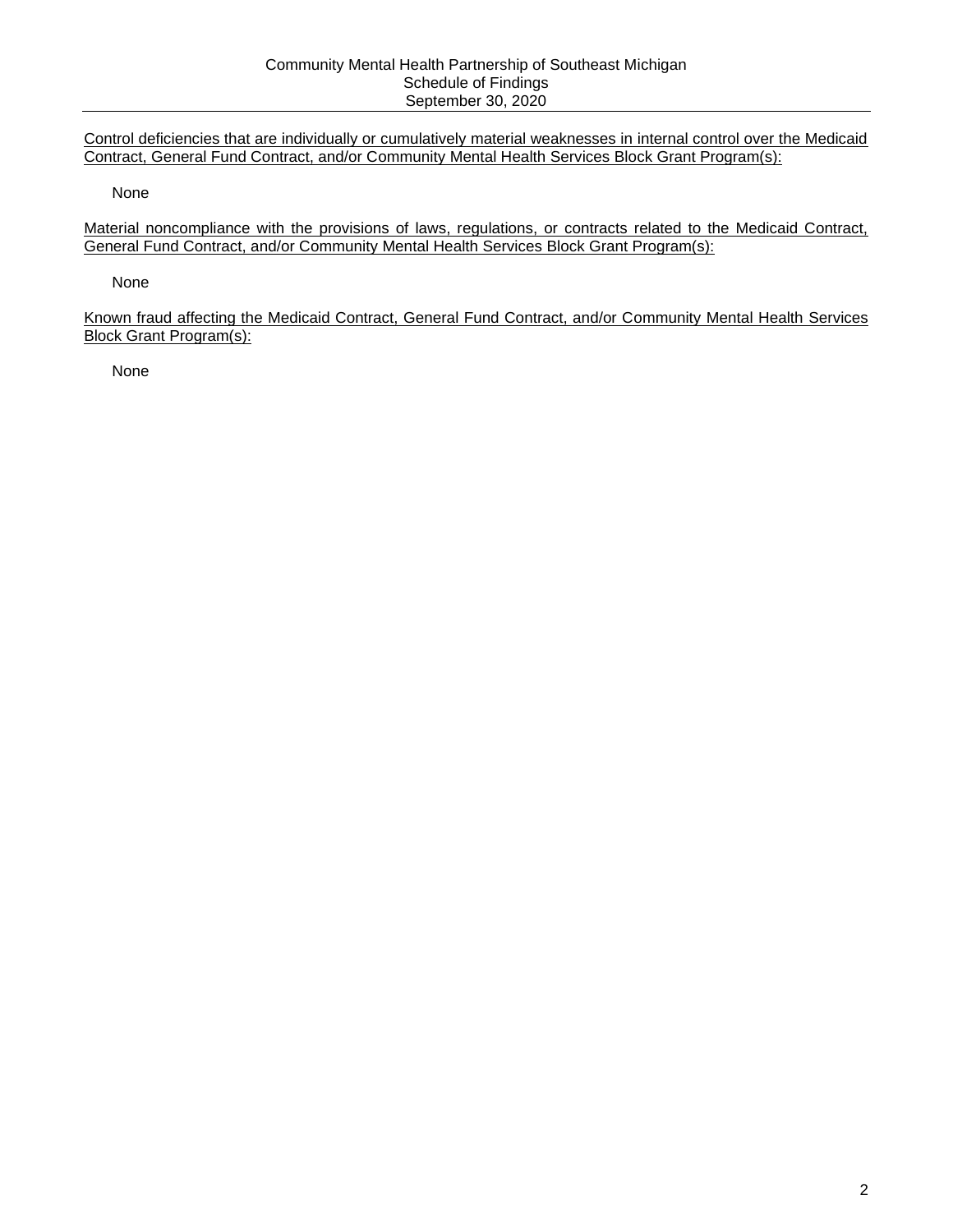Control deficiencies that are individually or cumulatively material weaknesses in internal control over the Medicaid Contract, General Fund Contract, and/or Community Mental Health Services Block Grant Program(s):

None

Material noncompliance with the provisions of laws, regulations, or contracts related to the Medicaid Contract, General Fund Contract, and/or Community Mental Health Services Block Grant Program(s):

None

Known fraud affecting the Medicaid Contract, General Fund Contract, and/or Community Mental Health Services Block Grant Program(s):

None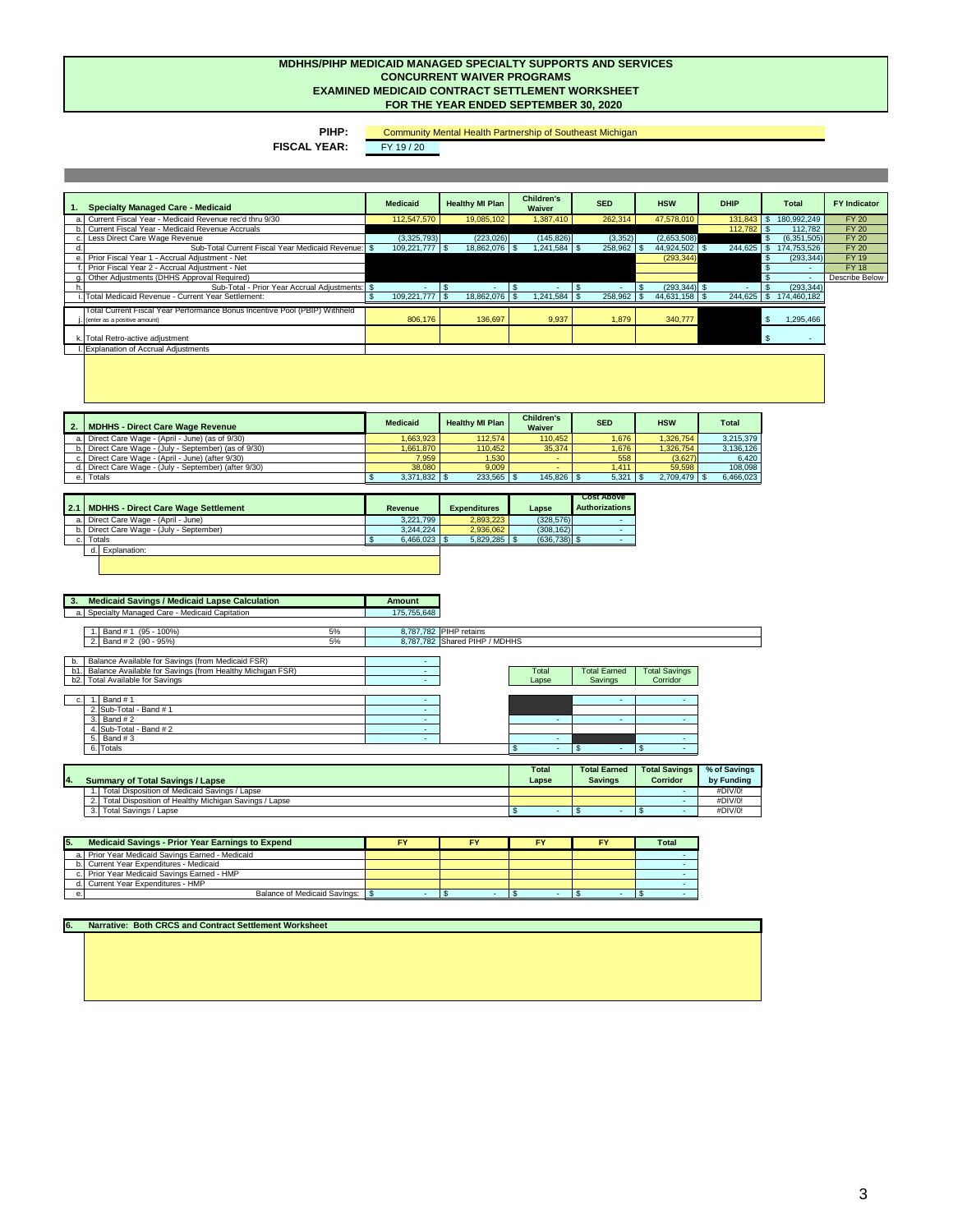**PIHP:** 

| $\blacksquare$ 3. | <b>Medicaid Savings / Medicaid Lapse Calculation</b> | <b>Amount</b> |
|-------------------|------------------------------------------------------|---------------|
|                   | a. Specialty Managed Care - Medicaid Capitation      | 175.755.648   |

| 100%<br>(95)<br>Bano<br>◡ ୵∪                         | 8,787,782 | PIHP<br>' retains              |
|------------------------------------------------------|-----------|--------------------------------|
| $-95%$<br>(90)<br><br>Band $#2$<br>◡ ୵<br><u>.</u> . | 8,787,782 | MDHHS<br>Shared<br><b>PIHP</b> |

| ⌒<br>U. | Band # 1                 |  |  |  |  |
|---------|--------------------------|--|--|--|--|
|         | 2. Sub-Total - Band # 1  |  |  |  |  |
|         | $3.$ Band # 2            |  |  |  |  |
|         | 4. Sub-Total - Band $#2$ |  |  |  |  |
|         | 5. Band $#3$             |  |  |  |  |
|         | 6. Totals                |  |  |  |  |

**6.**

| <b>Specialty Managed Care - Medicaid</b>                                                                   | <b>Medicaid</b>     | <b>Healthy MI Plan</b> | <b>Children's</b><br><b>Waiver</b> | <b>SED</b> | <b>HSW</b>      | <b>DHIP</b> | Total            | <b>FY Indicator</b>   |
|------------------------------------------------------------------------------------------------------------|---------------------|------------------------|------------------------------------|------------|-----------------|-------------|------------------|-----------------------|
| a. Current Fiscal Year - Medicaid Revenue rec'd thru 9/30                                                  | 112,547,570         | 19,085,102             | 1,387,410                          | 262,314    | 47,578,010      | 131,843     | 180,992,249      | <b>FY 20</b>          |
| b. Current Fiscal Year - Medicaid Revenue Accruals                                                         |                     |                        |                                    |            |                 | 112,782     | 112,782          | <b>FY 20</b>          |
| c. Less Direct Care Wage Revenue                                                                           | (3,325,793)         | (223, 026)             | (145, 826)                         | (3,352)    | (2,653,508)     |             | (6,351,505)      | <b>FY 20</b>          |
| Sub-Total Current Fiscal Year Medicaid Revenue: \$                                                         | $109,221,777$ \ \\$ | 18,862,076   \$        |                                    | 258,962    | 44,924,502   \$ | 244,625     | 174,753,526      | <b>FY 20</b>          |
| e. Prior Fiscal Year 1 - Accrual Adjustment - Net                                                          |                     |                        |                                    |            | (293, 344)      |             | (293, 344)       | <b>FY 19</b>          |
| . Prior Fiscal Year 2 - Accrual Adjustment - Net                                                           |                     |                        |                                    |            |                 |             |                  | <b>FY 18</b>          |
| g. Other Adjustments (DHHS Approval Required)                                                              |                     |                        |                                    |            |                 |             |                  | <b>Describe Below</b> |
| Sub-Total - Prior Year Accrual Adjustments: \$                                                             |                     |                        |                                    |            | $(293, 344)$ \$ |             | (293, 344)       |                       |
| . Total Medicaid Revenue - Current Year Settlement:                                                        |                     | $18,862,076$ \ \ \$    |                                    |            |                 | 244,625     | 174,460,182      |                       |
| Total Current Fiscal Year Performance Bonus Incentive Pool (PBIP) Withheld<br>(enter as a positive amount) | 806,176             | 136,697                | 9,937                              | 1,879      | 340,777         |             | 1,295,466<br>-\$ |                       |
| k. Total Retro-active adjustment                                                                           |                     |                        |                                    |            |                 |             | 8 S              |                       |
| . Explanation of Accrual Adjustments                                                                       |                     |                        |                                    |            |                 |             |                  |                       |

|              | <b>Revenue</b>                                                                                                                                  | <b>Expenditures</b> | Lapse     | <b>Cost Above</b><br><b>Authorizations</b>               |
|--------------|-------------------------------------------------------------------------------------------------------------------------------------------------|---------------------|-----------|----------------------------------------------------------|
|              |                                                                                                                                                 |                     |           |                                                          |
|              | 3,244,224                                                                                                                                       | 2,936,062           |           |                                                          |
|              |                                                                                                                                                 |                     |           |                                                          |
| Explanation: |                                                                                                                                                 |                     |           |                                                          |
|              |                                                                                                                                                 |                     |           |                                                          |
| $2.1$        | <b>MDHHS - Direct Care Wage Settlement</b><br>a. Direct Care Wage - (April - June)<br>b. Direct Care Wage - (July - September)<br><b>Totals</b> |                     | 3,221,799 | 2,893,223<br>(328, 576)<br>(308, 162)<br>$(636, 738)$ \$ |

| N,  | Savings (from Medicaid FSR)<br>Balance Available for S                         |  |              |                     |                         |
|-----|--------------------------------------------------------------------------------|--|--------------|---------------------|-------------------------|
|     | FSR)<br><b>Healthv</b><br>Michigan F<br>Savings (from<br>Balance Available for |  | <b>Total</b> | <b>Total Earned</b> | <b>Total</b><br>Savings |
| DZ. | I Available for Savings                                                        |  | Lapse        | <b>Savings</b>      | Corridor                |
|     |                                                                                |  |              |                     |                         |

| Гоtal | <b>Total Earned</b> | <b>Total Savings</b> |
|-------|---------------------|----------------------|
| Lapse | Savings             | Corridor             |
|       |                     |                      |
|       |                     |                      |

| <b>MDHHS - Direct Care Wage Revenue</b>               | <b>Medicaid</b> | <b>Healthy MI Plan</b> | <b>Children's</b><br><b>Waiver</b> | <b>SED</b> | <b>HSW</b> | <b>Total</b> |
|-------------------------------------------------------|-----------------|------------------------|------------------------------------|------------|------------|--------------|
| a. Direct Care Wage - (April - June) (as of 9/30)     | 1,663,923       | 112,574                | 110,452                            | ,676       | 1,326,754  | 3,215,379    |
| b. Direct Care Wage - (July - September) (as of 9/30) | 1,661,870丨      | 110,452                | 35,374                             | ,676       | 1,326,754  | 3,136,126    |
| c. Direct Care Wage - (April - June) (after 9/30)     | 7,959           | ,530                   | . .                                | 558        | (3,627)    | 6,420        |
| d. Direct Care Wage - (July - September) (after 9/30) | 38,080          | 9,009                  |                                    | .411       | 59,598     | 108,098      |
| Totals                                                |                 | 233,565                | $145,826$ \$                       | 5,321      | 2,709,479  | 6,466,023    |

| 15. | <b>Medicaid Savings - Prior Year Earnings to Expend</b> |  | FY | cν | Total |
|-----|---------------------------------------------------------|--|----|----|-------|
|     | a. Prior Year Medicaid Savings Earned - Medicaid        |  |    |    |       |
|     | b. Current Year Expenditures - Medicaid                 |  |    |    |       |
|     | c. Prior Year Medicaid Savings Earned - HMP             |  |    |    |       |
|     | d. Current Year Expenditures - HMP                      |  |    |    |       |
|     | <b>Balance of Medicaid Savings:</b>                     |  |    |    |       |

**Narrative: Both CRCS and Contract Settlement Worksheet** 

|                                                       | <b>Total</b> | <b>Total Earned</b> | <b>Total Savings</b> | % of Savings |
|-------------------------------------------------------|--------------|---------------------|----------------------|--------------|
| <b>Summary of Total Savings / Lapse</b>               | Lapse        | Savings             | <b>Corridor</b>      | by Funding   |
| Total Disposition of Medicaid Savings / Lapse         |              |                     |                      | #DIV/0!      |
| Total Disposition of Healthy Michigan Savings / Lapse |              |                     |                      | #DIV/0!      |
| Total Savings / Lapse                                 |              |                     |                      | #DIV/0!      |

#### **MDHHS/PIHP MEDICAID MANAGED SPECIALTY SUPPORTS AND SERVICES CONCURRENT WAIVER PROGRAMS EXAMINED MEDICAID CONTRACT SETTLEMENT WORKSHEET FOR THE YEAR ENDED SEPTEMBER 30, 2020**

Community Mental Health Partnership of Southeast Michigan

**FISCAL YEAR:** FY 19/20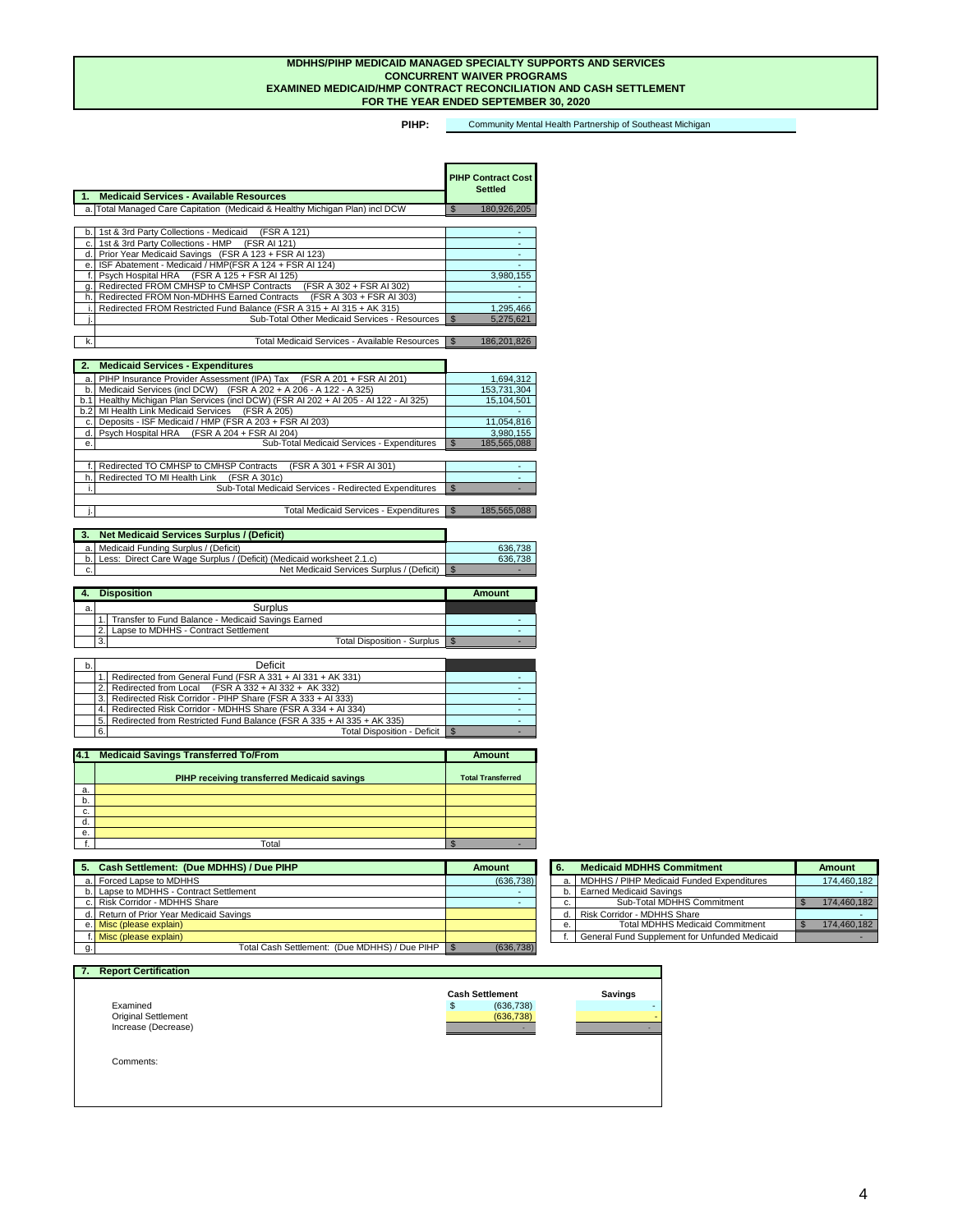| 6.1 | Total Disposition - Deficit   \$                                         |  |
|-----|--------------------------------------------------------------------------|--|
|     | 5. Redirected from Restricted Fund Balance (FSR A 335 + AI 335 + AK 335) |  |
|     | 4. Redirected Risk Corridor - MDHHS Share (FSR A 334 + AI 334)           |  |
|     | 3. Redirected Risk Corridor - PIHP Share (FSR A 333 + AI 333)            |  |
|     | Redirected from Local $(FSR A 332 + AI 332 + AK 332)$                    |  |
|     | 1. Redirected from General Fund (FSR A $331 + A1331 + AK331$ )           |  |

**PIHP:**  Community Mental Health Partnership of Southeast Michigan

| $\blacktriangleleft$ | <b>Medicaid Services - Available Resources</b>                               |                | <b>PIHP Contract Cost</b><br><b>Settled</b> |
|----------------------|------------------------------------------------------------------------------|----------------|---------------------------------------------|
|                      | a. Total Managed Care Capitation (Medicaid & Healthy Michigan Plan) incl DCW | $\mathbb{S}$   | 180,926,205                                 |
|                      |                                                                              |                |                                             |
| b                    | 1st & 3rd Party Collections - Medicaid<br>(FSR A 121)                        |                |                                             |
| C.                   | 1st & 3rd Party Collections - HMP (FSR AI 121)                               |                |                                             |
| d.                   | Prior Year Medicaid Savings (FSR A 123 + FSR AI 123)                         |                |                                             |
| е.                   | ISF Abatement - Medicaid / HMP(FSR A 124 + FSR AI 124)                       |                |                                             |
|                      | Psych Hospital HRA (FSR A 125 + FSR AI 125)                                  |                | 3,980,155                                   |
| g.                   | Redirected FROM CMHSP to CMHSP Contracts<br>(FSR A 302 + FSR AI 302)         |                |                                             |
| h.                   | Redirected FROM Non-MDHHS Earned Contracts<br>(FSR A 303 + FSR AI 303)       |                |                                             |
|                      | Redirected FROM Restricted Fund Balance (FSR A 315 + AI 315 + AK 315)        |                | 1,295,466                                   |
|                      | <b>Sub-Total Other Medicaid Services - Resources</b>                         | $\mathfrak{S}$ | 5,275,621                                   |
|                      |                                                                              |                |                                             |
| k.                   | <b>Total Medicaid Services - Available Resources</b>                         | \$             | 186,201,826                                 |

| $\overline{\phantom{a}}$<br>$-$<br>. .<br>יוטי.<br>-<br>_____ |  |
|---------------------------------------------------------------|--|

| 2.  | <b>Medicaid Services - Expenditures</b>                                           |                     |
|-----|-----------------------------------------------------------------------------------|---------------------|
| a   | PIHP Insurance Provider Assessment (IPA) Tax (FSR A 201 + FSR AI 201)             | 1,694,312           |
| b.  | Medicaid Services (incl DCW) (FSR A 202 + A 206 - A 122 - A 325)                  | 153,731,304         |
| b.1 | Healthy Michigan Plan Services (incl DCW) (FSR AI 202 + AI 205 - AI 122 - AI 325) | 15,104,501          |
| b.2 | <b>MI Health Link Medicaid Services</b><br>(FSR A 205)                            |                     |
| C.  | Deposits - ISF Medicaid / HMP (FSR A 203 + FSR AI 203)                            | 11,054,816          |
| d.  | Psych Hospital HRA (FSR A 204 + FSR AI 204)                                       | 3,980,155           |
| е.  | <b>Sub-Total Medicaid Services - Expenditures</b>                                 | 185,565,088         |
|     |                                                                                   |                     |
|     | Redirected TO CMHSP to CMHSP Contracts<br>(FSR A 301 + FSR AI 301)                |                     |
| h   | Redirected TO MI Health Link (FSR A 301c)                                         |                     |
|     | Sub-Total Medicaid Services - Redirected Expenditures                             | \$                  |
|     |                                                                                   |                     |
|     | <b>Total Medicaid Services - Expenditures</b>                                     | 185,565,088<br>් ති |

|    | <b>Disposition</b>                                 | <b>Amount</b> |
|----|----------------------------------------------------|---------------|
| a. | <b>Surplus</b>                                     |               |
|    | Transfer to Fund Balance - Medicaid Savings Earned |               |
|    | Lapse to MDHHS - Contract Settlement               |               |
|    | <b>Total Disposition - Surplus</b><br>3.           |               |

|                | <b>Net Medicaid Services Surplus / (Deficit)</b>                      |         |
|----------------|-----------------------------------------------------------------------|---------|
|                | a. Medicaid Funding Surplus / (Deficit)                               | 636,738 |
| b <sub>1</sub> | Less: Direct Care Wage Surplus / (Deficit) (Medicaid worksheet 2.1.c) | 636,738 |
| c.             | Net Medicaid Services Surplus / (Deficit)                             |         |

|                            | <b>Cash Settlement</b>      | <b>Savings</b> |
|----------------------------|-----------------------------|----------------|
| Examined                   | (636, 738)<br>$\frac{1}{2}$ |                |
| <b>Original Settlement</b> | (636, 738)                  |                |
| Increase (Decrease)        |                             |                |
|                            |                             |                |
| Comments:                  |                             |                |
|                            |                             |                |

#### **MDHHS/PIHP MEDICAID MANAGED SPECIALTY SUPPORTS AND SERVICES CONCURRENT WAIVER PROGRAMS EXAMINED MEDICAID/HMP CONTRACT RECONCILIATION AND CASH SETTLEMENT FOR THE YEAR ENDED SEPTEMBER 30, 2020**

| 4.1 | <b>Medicaid Savings Transferred To/From</b>        | <b>Amount</b>            |
|-----|----------------------------------------------------|--------------------------|
|     | <b>PIHP receiving transferred Medicaid savings</b> | <b>Total Transferred</b> |
| а.  |                                                    |                          |
| b.  |                                                    |                          |
| C.  |                                                    |                          |
| d.  |                                                    |                          |
| e.  |                                                    |                          |
|     | Total                                              | -                        |

| 5. Cash Settlement: (Due MDHHS) / Due PIHP         | <b>Amount</b> | O.    | <b>Medicaid MDHHS Commitment</b>                           | <b>Amount</b> |
|----------------------------------------------------|---------------|-------|------------------------------------------------------------|---------------|
| a. Forced Lapse to MDHHS                           | (636, 738)    | -a. I | MDHHS / PIHP Medicaid Funded Expenditures                  | 174,460,182   |
| b. Lapse to MDHHS - Contract Settlement            |               |       | <b>Earned Medicaid Savings</b>                             |               |
| c. Risk Corridor - MDHHS Share                     |               | U.    | <b>Sub-Total MDHHS Commitment</b>                          | 174,460,182   |
| d. Return of Prior Year Medicaid Savings           |               |       | Risk Corridor - MDHHS Share                                |               |
| e. Misc (please explain)                           |               | е.    | <b>Total MDHHS Medicaid Commitment</b>                     | 174,460,182   |
| f. Misc (please explain)                           |               |       | <sup>1</sup> General Fund Supplement for Unfunded Medicaid |               |
| Total Cash Settlement: (Due MDHHS) / Due PIHP   \$ | (636, 738)    |       |                                                            |               |

| 6. | <b>Medicaid MDHHS Commitment</b>                     | <b>Amount</b> |
|----|------------------------------------------------------|---------------|
| a. | MDHHS / PIHP Medicaid Funded Expenditures            | 174,460,182   |
| b. | <b>Earned Medicaid Savings</b>                       |               |
| c. | Sub-Total MDHHS Commitment                           | 174,460,182   |
| d  | <b>Risk Corridor - MDHHS Share</b>                   |               |
| е. | <b>Total MDHHS Medicaid Commitment</b>               | 174,460,182   |
|    | <b>General Fund Supplement for Unfunded Medicaid</b> |               |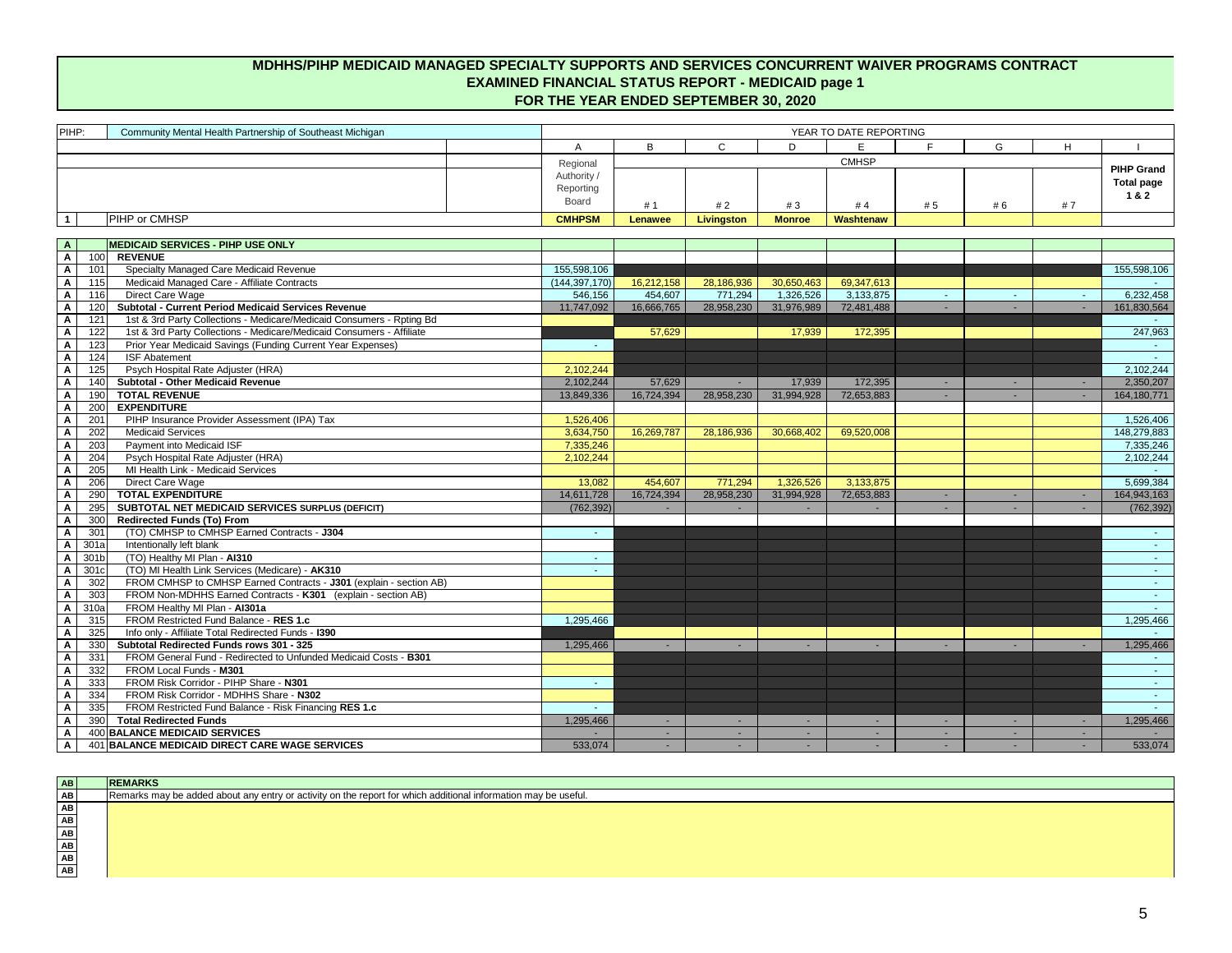| PIHP:                               | Community Mental Health Partnership of Southeast Michigan                                   | YEAR TO DATE REPORTING  |                |                   |                  |              |     |              |    |                   |
|-------------------------------------|---------------------------------------------------------------------------------------------|-------------------------|----------------|-------------------|------------------|--------------|-----|--------------|----|-------------------|
|                                     |                                                                                             | A                       | B              | C                 | D                | E.           | E.  | G            | H  |                   |
|                                     |                                                                                             |                         |                |                   |                  | <b>CMHSP</b> |     |              |    |                   |
|                                     |                                                                                             | Regional<br>Authority / |                |                   |                  |              |     |              |    | <b>PIHP Grand</b> |
|                                     |                                                                                             | Reporting               |                |                   |                  |              |     |              |    | <b>Total page</b> |
|                                     |                                                                                             | Board                   | #1             | #2                | #3               | #4           | # 5 | # 6          | #7 | 1&2               |
| 1                                   | <b>PIHP or CMHSP</b>                                                                        | <b>CMHPSM</b>           | <b>Lenawee</b> | <b>Livingston</b> | <b>Monroe</b>    | Washtenaw    |     |              |    |                   |
|                                     |                                                                                             |                         |                |                   |                  |              |     |              |    |                   |
| $\mathbf{A}$                        | <b>MEDICAID SERVICES - PIHP USE ONLY</b>                                                    |                         |                |                   |                  |              |     |              |    |                   |
| $\mathsf{A}$<br>100                 | <b>REVENUE</b>                                                                              |                         |                |                   |                  |              |     |              |    |                   |
| $\mathsf{A}$<br>101                 | Specialty Managed Care Medicaid Revenue                                                     | 155,598,106             |                |                   |                  |              |     |              |    | 155,598,106       |
| 115<br>$\mathsf{A}$                 | Medicaid Managed Care - Affiliate Contracts                                                 | (144, 397, 170)         | 16,212,158     | 28,186,936        | 30,650,463       | 69,347,613   |     |              |    |                   |
| $\mathbf{A}$<br>116                 | Direct Care Wage                                                                            | 546,156                 | 454,607        | 771,294           | 1,326,526        | 3,133,875    |     | $\sim$       |    | 6,232,458         |
| 120<br>$\mathbf{A}$                 | <b>Subtotal - Current Period Medicaid Services Revenue</b>                                  | 11,747,092              | 16,666,765     | 28,958,230        | 31,976,989       | 72,481,488   |     |              |    | 161,830,564       |
| 121<br>$\mathbf{A}$                 | 1st & 3rd Party Collections - Medicare/Medicaid Consumers - Rpting Bd                       |                         |                |                   |                  |              |     |              |    |                   |
| $\mathsf{A}$<br>122                 | 1st & 3rd Party Collections - Medicare/Medicaid Consumers - Affiliate                       |                         | 57,629         |                   | 17,939           | 172,395      |     |              |    | 247,963           |
| 123<br>A                            | Prior Year Medicaid Savings (Funding Current Year Expenses)                                 |                         |                |                   |                  |              |     |              |    | $\sim$            |
| 124<br>$\mathbf{A}$                 | <b>ISF Abatement</b>                                                                        |                         |                |                   |                  |              |     |              |    | $\sim 10$         |
| 125<br>$\mathsf{A}$                 | Psych Hospital Rate Adjuster (HRA)                                                          | 2,102,244               |                |                   |                  |              |     |              |    | 2,102,244         |
| $\mathbf{A}$<br>140                 | <b>Subtotal - Other Medicaid Revenue</b>                                                    | 2,102,244               | 57,629         |                   | 17,939           | 172,395      |     | ÷.           |    | 2,350,207         |
| $\mathsf{A}$<br>190                 | <b>TOTAL REVENUE</b>                                                                        | 13,849,336              | 16,724,394     | 28,958,230        | 31,994,928       | 72,653,883   |     |              |    | 164, 180, 771     |
| 200<br>$\mathsf{A}$                 | <b>EXPENDITURE</b>                                                                          |                         |                |                   |                  |              |     |              |    |                   |
| 201<br>$\mathbf{A}$                 | PIHP Insurance Provider Assessment (IPA) Tax                                                | 1,526,406               |                |                   |                  |              |     |              |    | 1,526,406         |
| 202<br>$\mathsf{A}$                 | <b>Medicaid Services</b>                                                                    | 3,634,750               | 16,269,787     | 28,186,936        | 30,668,402       | 69,520,008   |     |              |    | 148,279,883       |
| 203<br>A                            | Payment into Medicaid ISF                                                                   | 7,335,246               |                |                   |                  |              |     |              |    | 7,335,246         |
| 204<br>A                            | Psych Hospital Rate Adjuster (HRA)                                                          | 2,102,244               |                |                   |                  |              |     |              |    | 2,102,244         |
| 205<br>A                            | MI Health Link - Medicaid Services                                                          |                         |                |                   |                  |              |     |              |    |                   |
| 206<br>$\mathsf{A}$                 | Direct Care Wage                                                                            | 13,082                  | 454,607        | 771,294           | 1,326,526        | 3,133,875    |     |              |    | 5,699,384         |
| 290<br>$\mathsf{A}$                 | <b>TOTAL EXPENDITURE</b>                                                                    | 14,611,728              | 16,724,394     | 28,958,230        | 31,994,928       | 72,653,883   |     | ۰.           |    | 164,943,163       |
| 295<br>$\mathbf{A}$                 | <b>SUBTOTAL NET MEDICAID SERVICES SURPLUS (DEFICIT)</b>                                     | (762, 392)              |                |                   |                  |              |     |              |    | (762, 392)        |
| 300<br>$\mathbf{A}$                 | <b>Redirected Funds (To) From</b>                                                           |                         |                |                   |                  |              |     |              |    |                   |
| 301<br>A                            | (TO) CMHSP to CMHSP Earned Contracts - J304                                                 | $\sim$                  |                |                   |                  |              |     |              |    | $\sim$ $-$        |
| 301a<br>A                           | Intentionally left blank                                                                    |                         |                |                   |                  |              |     |              |    | $\sim$            |
| 301 <sub>b</sub><br>$\mathsf{A}$    | (TO) Healthy MI Plan - AI310                                                                |                         |                |                   |                  |              |     |              |    |                   |
| $\mathsf{A}$<br>301c                | (TO) MI Health Link Services (Medicare) - AK310                                             |                         |                |                   |                  |              |     |              |    | $\sim 10$         |
| $\mathsf{A}$<br>302                 | FROM CMHSP to CMHSP Earned Contracts - J301 (explain - section AB)                          |                         |                |                   |                  |              |     |              |    |                   |
| 303<br>$\mathbf{A}$                 | FROM Non-MDHHS Earned Contracts - K301 (explain - section AB)                               |                         |                |                   |                  |              |     |              |    | <b>College</b>    |
| $\mathsf{A}$<br>310a                | FROM Healthy MI Plan - Al301a                                                               |                         |                |                   |                  |              |     |              |    |                   |
| $\mathsf{A}$<br>315                 | FROM Restricted Fund Balance - RES 1.c                                                      | 1,295,466               |                |                   |                  |              |     |              |    | 1,295,466         |
| 325<br>$\mathbf{A}$                 | Info only - Affiliate Total Redirected Funds - 1390                                         |                         |                |                   |                  |              |     |              |    |                   |
| 330<br>$\mathsf{A}$                 | Subtotal Redirected Funds rows 301 - 325                                                    | 1,295,466               |                |                   |                  |              |     |              |    | 1,295,466         |
| 331<br>$\mathbf{A}$                 | FROM General Fund - Redirected to Unfunded Medicaid Costs - B301<br>FROM Local Funds - M301 |                         |                |                   |                  |              |     |              |    | $\sim$ 10 $\pm$   |
| $\mathbf{A}$<br>332<br>333          | FROM Risk Corridor - PIHP Share - N301                                                      |                         |                |                   |                  |              |     |              |    | $\sim$ 10 $\pm$   |
| $\mathsf{A}$<br>334                 | FROM Risk Corridor - MDHHS Share - N302                                                     | $\sim$ 10 $\pm$         |                |                   |                  |              |     |              |    | $\sim$ 10 $\pm$   |
| $\mathsf{A}$<br>$\mathsf{A}$<br>335 | FROM Restricted Fund Balance - Risk Financing RES 1.c                                       |                         |                |                   |                  |              |     |              |    | <b>College</b>    |
| 390                                 | <b>Total Redirected Funds</b>                                                               | 1,295,466               |                |                   |                  |              |     |              |    | 1,295,466         |
| $\mathbf{A}$<br>$\mathsf{A}$        | 400 BALANCE MEDICAID SERVICES                                                               |                         | ۰.<br>۰.       | н.                | $\sim$<br>$\sim$ |              |     | $\sim$<br>۰. |    |                   |
| $\mathsf{A}$                        | 401 BALANCE MEDICAID DIRECT CARE WAGE SERVICES                                              | 533,074                 |                |                   |                  |              |     |              |    | 533,074           |
|                                     |                                                                                             |                         |                |                   |                  |              |     |              |    |                   |

| AB | <b>REMARKS</b>                                                                                                 |
|----|----------------------------------------------------------------------------------------------------------------|
| AB | Remarks may be added about any entry or activity on the report for which additional information may be useful. |
| AB |                                                                                                                |
| AB |                                                                                                                |
| AB |                                                                                                                |
| AB |                                                                                                                |
| AB |                                                                                                                |
| AB |                                                                                                                |

## **MDHHS/PIHP MEDICAID MANAGED SPECIALTY SUPPORTS AND SERVICES CONCURRENT WAIVER PROGRAMS CONTRACT EXAMINED FINANCIAL STATUS REPORT - MEDICAID page 1 FOR THE YEAR ENDED SEPTEMBER 30, 2020**

5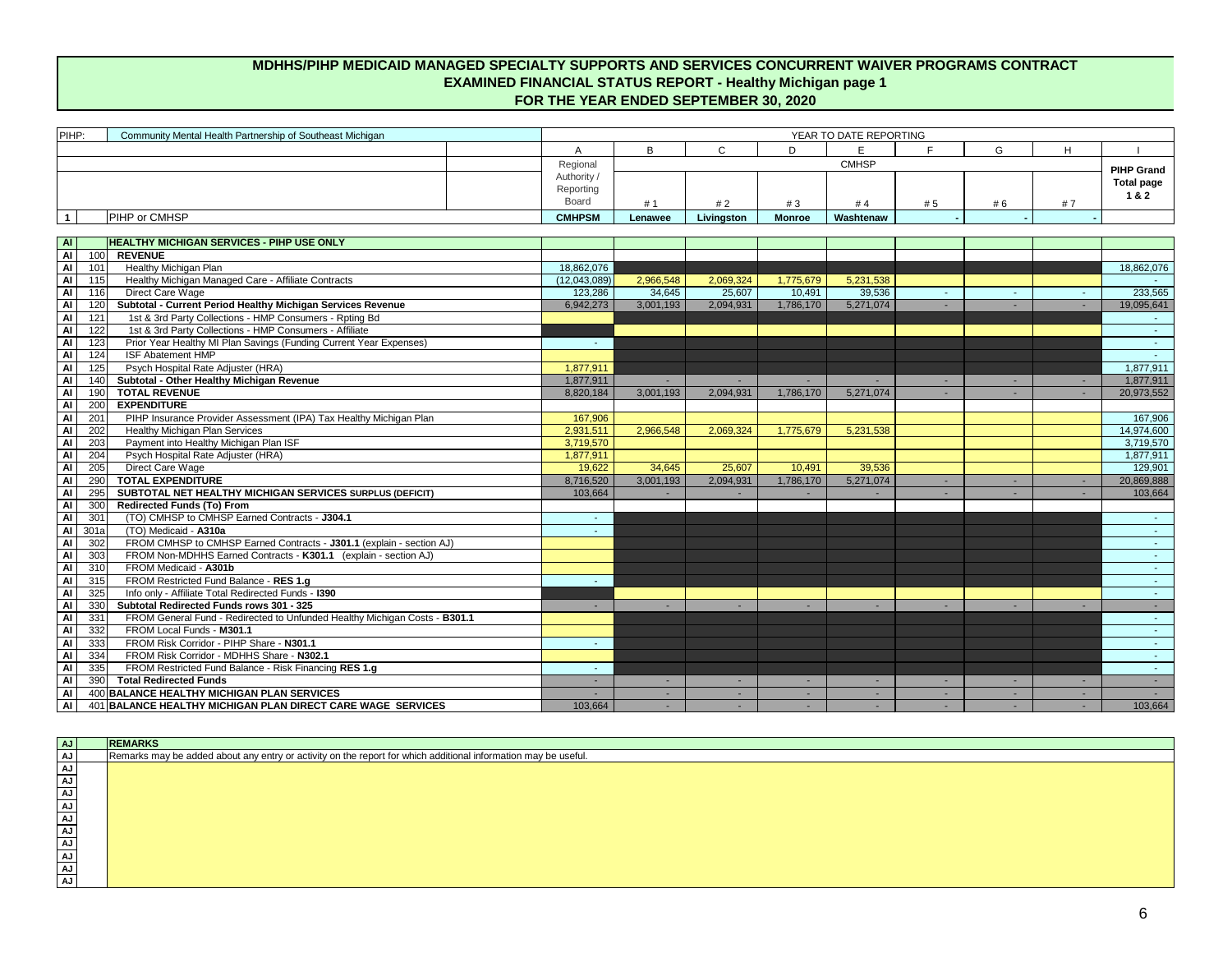| AJ        | <b>REMARKS</b>                                                                                                 |
|-----------|----------------------------------------------------------------------------------------------------------------|
| <b>AJ</b> | Remarks may be added about any entry or activity on the report for which additional information may be useful. |
| <b>AJ</b> |                                                                                                                |
| <b>AJ</b> |                                                                                                                |
| <b>AJ</b> |                                                                                                                |
| <b>AJ</b> |                                                                                                                |
| <b>AJ</b> |                                                                                                                |
| <b>AJ</b> |                                                                                                                |
| <b>AJ</b> |                                                                                                                |
| <b>AJ</b> |                                                                                                                |
| <b>AJ</b> |                                                                                                                |
| <b>AJ</b> |                                                                                                                |

| PIHP:                                   | Community Mental Health Partnership of Southeast Michigan                  | YEAR TO DATE REPORTING |           |              |                 |              |     |        |    |                   |
|-----------------------------------------|----------------------------------------------------------------------------|------------------------|-----------|--------------|-----------------|--------------|-----|--------|----|-------------------|
|                                         |                                                                            | A                      | B         | $\mathsf{C}$ | D               | E            | F.  | G      | H  |                   |
|                                         |                                                                            | Regional               |           |              |                 | <b>CMHSP</b> |     |        |    | <b>PIHP Grand</b> |
|                                         |                                                                            | Authority /            |           |              |                 |              |     |        |    |                   |
|                                         |                                                                            | Reporting              |           |              |                 |              |     |        |    | <b>Total page</b> |
|                                         |                                                                            | Board                  | #1        | #2           | #3              | #4           | # 5 | # 6    | #7 | 1 & 2             |
| $\overline{1}$                          | PIHP or CMHSP                                                              | <b>CMHPSM</b>          | Lenawee   | Livingston   | <b>Monroe</b>   | Washtenaw    |     |        |    |                   |
|                                         |                                                                            |                        |           |              |                 |              |     |        |    |                   |
| <b>AI</b>                               | <b>HEALTHY MICHIGAN SERVICES - PIHP USE ONLY</b>                           |                        |           |              |                 |              |     |        |    |                   |
| $\overline{A}$<br>100                   | <b>REVENUE</b>                                                             |                        |           |              |                 |              |     |        |    |                   |
| $\overline{A}$<br>101                   | <b>Healthy Michigan Plan</b>                                               | 18,862,076             |           |              |                 |              |     |        |    | 18,862,076        |
| <b>Al</b><br>115                        | Healthy Michigan Managed Care - Affiliate Contracts                        | (12,043,089)           | 2,966,548 | 2,069,324    | 1,775,679       | 5,231,538    |     |        |    |                   |
| <b>Al</b><br>116                        | Direct Care Wage                                                           | 123,286                | 34,645    | 25,607       | 10,491          | 39,536       |     | ÷      |    | 233,565           |
| <b>Al</b><br>120                        | Subtotal - Current Period Healthy Michigan Services Revenue                | 6,942,273              | 3,001,193 | 2,094,931    | 1,786,170       | 5,271,074    |     |        |    | 19,095,641        |
| <b>Al</b><br>121                        | 1st & 3rd Party Collections - HMP Consumers - Rpting Bd                    |                        |           |              |                 |              |     |        |    |                   |
| <b>Al</b><br>122                        | 1st & 3rd Party Collections - HMP Consumers - Affiliate                    |                        |           |              |                 |              |     |        |    | $\sim$            |
| Al<br>123                               | Prior Year Healthy MI Plan Savings (Funding Current Year Expenses)         |                        |           |              |                 |              |     |        |    | $\sim$            |
| <b>Al</b><br>124                        | <b>ISF Abatement HMP</b>                                                   |                        |           |              |                 |              |     |        |    | $\sim$ .          |
| $\overline{A}$<br>125                   | Psych Hospital Rate Adjuster (HRA)                                         | 1,877,911              |           |              |                 |              |     |        |    | 1,877,911         |
| $\overline{A}$<br>140                   | <b>Subtotal - Other Healthy Michigan Revenue</b>                           | 1,877,911              |           |              |                 |              |     | ۰.     |    | 1,877,911         |
| Al<br>190                               | <b>TOTAL REVENUE</b>                                                       | 8,820,184              | 3,001,193 | 2,094,931    | 1,786,170       | 5,271,074    |     |        |    | 20,973,552        |
| $\overline{A}$<br>200                   | <b>EXPENDITURE</b>                                                         |                        |           |              |                 |              |     |        |    |                   |
| Al<br>201                               | PIHP Insurance Provider Assessment (IPA) Tax Healthy Michigan Plan         | 167,906                |           |              |                 |              |     |        |    | 167,906           |
| $\overline{A}$<br>202                   | <b>Healthy Michigan Plan Services</b>                                      | 2,931,511              | 2,966,548 | 2,069,324    | 1,775,679       | 5,231,538    |     |        |    | 14,974,600        |
| Al<br>203                               | Payment into Healthy Michigan Plan ISF                                     | 3,719,570              |           |              |                 |              |     |        |    | 3,719,570         |
| <b>Al</b><br>204                        | Psych Hospital Rate Adjuster (HRA)                                         | 1,877,911              |           |              |                 |              |     |        |    | 1,877,911         |
| $\overline{A}$<br>205<br>$\overline{A}$ | <b>Direct Care Wage</b><br><b>TOTAL EXPENDITURE</b>                        | 19,622                 | 34,645    | 25,607       | 10,491          | 39,536       |     |        |    | 129,901           |
| 290<br>Al<br>295                        | SUBTOTAL NET HEALTHY MICHIGAN SERVICES SURPLUS (DEFICIT)                   | 8,716,520              | 3,001,193 | 2,094,931    | 1,786,170       | 5,271,074    |     | ۰.     |    | 20,869,888        |
| <b>Al</b><br>300                        | <b>Redirected Funds (To) From</b>                                          | 103,664                |           |              |                 |              |     |        |    | 103,664           |
| <b>Al</b><br>301                        | (TO) CMHSP to CMHSP Earned Contracts - J304.1                              | $\sim$                 |           |              |                 |              |     |        |    | $\sim$ 10 $\pm$   |
| <b>Al</b><br>301a                       | (TO) Medicaid - A310a                                                      |                        |           |              |                 |              |     |        |    | $\sim$ .          |
| Al<br>302                               | FROM CMHSP to CMHSP Earned Contracts - J301.1 (explain - section AJ)       |                        |           |              |                 |              |     |        |    | $\sim$            |
| <b>Al</b><br>303                        | FROM Non-MDHHS Earned Contracts - K301.1 (explain - section AJ)            |                        |           |              |                 |              |     |        |    | $\sim$ 10 $\pm$   |
| 310<br>Al                               | FROM Medicaid - A301b                                                      |                        |           |              |                 |              |     |        |    | $\sim 100$        |
| $\overline{A}$<br>315                   | FROM Restricted Fund Balance - RES 1.g                                     |                        |           |              |                 |              |     |        |    | $\sim$            |
| $\overline{A}$<br>325                   | Info only - Affiliate Total Redirected Funds - 1390                        |                        |           |              |                 |              |     |        |    | $\sim$            |
| <b>Al</b><br>330                        | Subtotal Redirected Funds rows 301 - 325                                   | $\sim$                 |           |              |                 |              |     | ۰.     |    | $\sim$            |
| Al<br>331                               | FROM General Fund - Redirected to Unfunded Healthy Michigan Costs - B301.1 |                        |           |              |                 |              |     |        |    | $\sim$ 10 $\pm$   |
| Al<br>332                               | FROM Local Funds - M301.1                                                  |                        |           |              |                 |              |     |        |    | $\sim$            |
| Al<br>333                               | FROM Risk Corridor - PIHP Share - N301.1                                   | $\sim$                 |           |              |                 |              |     |        |    | $\sim$            |
| Al<br>334                               | FROM Risk Corridor - MDHHS Share - N302.1                                  |                        |           |              |                 |              |     |        |    | $\sim 10$         |
| Al<br>335                               | FROM Restricted Fund Balance - Risk Financing RES 1.g                      |                        |           |              |                 |              |     |        |    | $\sim 100$        |
| <b>Al</b><br>390                        | <b>Total Redirected Funds</b>                                              |                        |           |              | <b>Contract</b> |              |     |        |    |                   |
| <b>Al</b>                               | 400 BALANCE HEALTHY MICHIGAN PLAN SERVICES                                 |                        |           |              |                 |              |     |        |    |                   |
| <b>Al</b>                               | 401 BALANCE HEALTHY MICHIGAN PLAN DIRECT CARE WAGE SERVICES                | 103,664                | ٠         |              | $\sim$          |              |     | $\sim$ |    | 103,664           |

## **MDHHS/PIHP MEDICAID MANAGED SPECIALTY SUPPORTS AND SERVICES CONCURRENT WAIVER PROGRAMS CONTRACT EXAMINED FINANCIAL STATUS REPORT - Healthy Michigan page 1 FOR THE YEAR ENDED SEPTEMBER 30, 2020**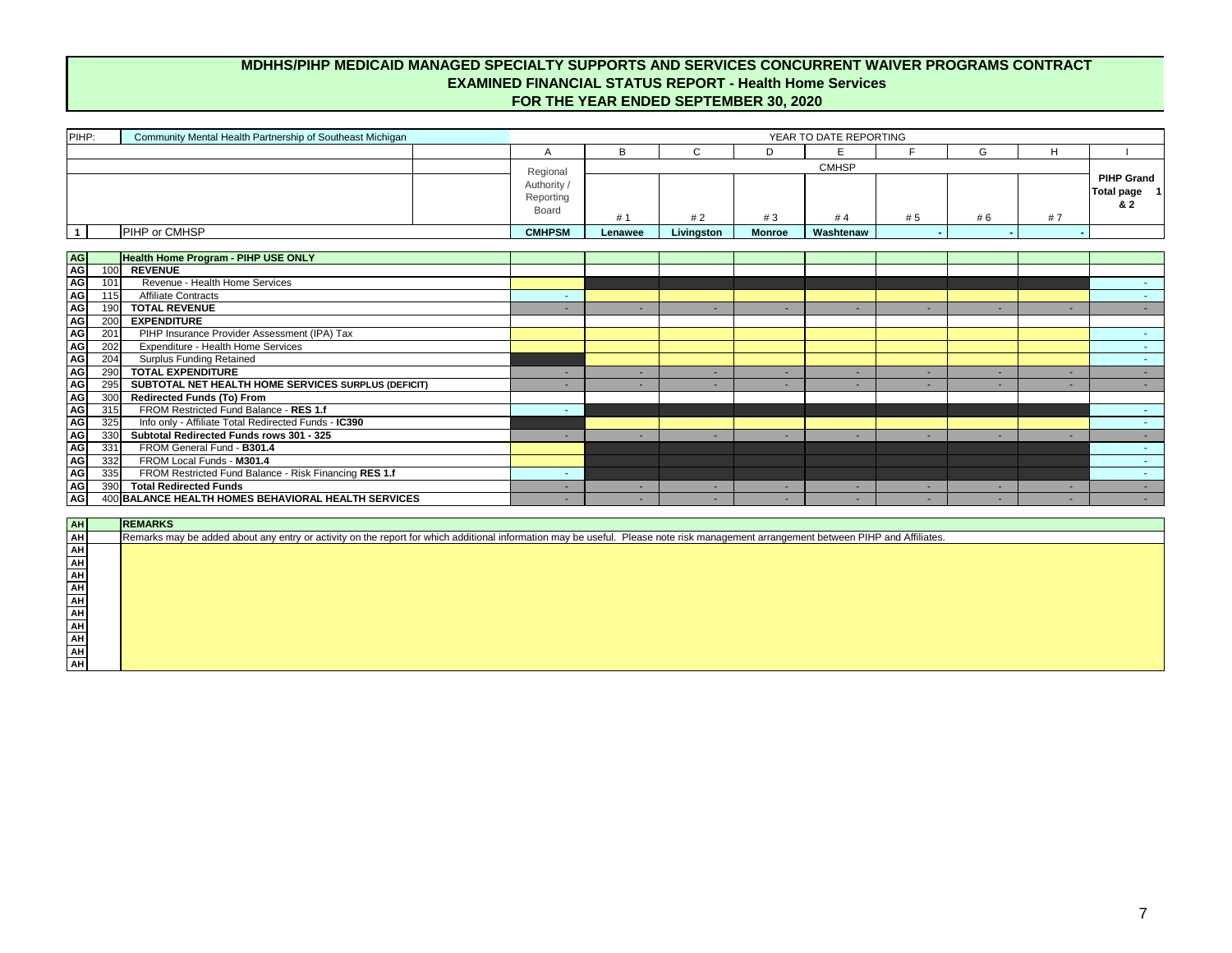| AH                           | <b>REMARKS</b>                                                                                                                                                                      |
|------------------------------|-------------------------------------------------------------------------------------------------------------------------------------------------------------------------------------|
| AH                           | Remarks may be added about any entry or activity on the report for which additional information may be useful. Please note risk management arrangement between PIHP and Affiliates. |
| $\underline{\mathsf{AH}}$    |                                                                                                                                                                                     |
|                              |                                                                                                                                                                                     |
|                              |                                                                                                                                                                                     |
| <mark>국 국 국 국 국 국 국</mark> 국 |                                                                                                                                                                                     |
|                              |                                                                                                                                                                                     |
|                              |                                                                                                                                                                                     |
|                              |                                                                                                                                                                                     |
|                              |                                                                                                                                                                                     |
|                              |                                                                                                                                                                                     |
| AH                           |                                                                                                                                                                                     |

## **MDHHS/PIHP MEDICAID MANAGED SPECIALTY SUPPORTS AND SERVICES CONCURRENT WAIVER PROGRAMS CONTRACT EXAMINED FINANCIAL STATUS REPORT - Health Home Services FOR THE YEAR ENDED SEPTEMBER 30, 2020**

| PIHP:                                  | Community Mental Health Partnership of Southeast Michigan                                                                                                                           |                                               |         |             |               | YEAR TO DATE REPORTING   |     |     |        |                                         |
|----------------------------------------|-------------------------------------------------------------------------------------------------------------------------------------------------------------------------------------|-----------------------------------------------|---------|-------------|---------------|--------------------------|-----|-----|--------|-----------------------------------------|
|                                        |                                                                                                                                                                                     | A                                             | B       | $\mathsf C$ | D             | E                        |     | G   | H      |                                         |
|                                        |                                                                                                                                                                                     |                                               |         |             |               | <b>CMHSP</b>             |     |     |        |                                         |
|                                        |                                                                                                                                                                                     | Regional<br>Authority /<br>Reporting<br>Board | #1      | #2          | #3            | #4                       | # 5 | # 6 | #7     | <b>PIHP Grand</b><br>Total page 1<br>82 |
| $\overline{\mathbf{1}}$                | PIHP or CMHSP                                                                                                                                                                       | <b>CMHPSM</b>                                 | Lenawee | Livingston  | <b>Monroe</b> | Washtenaw                |     |     |        |                                         |
|                                        |                                                                                                                                                                                     |                                               |         |             |               |                          |     |     |        |                                         |
|                                        | <b>Health Home Program - PIHP USE ONLY</b>                                                                                                                                          |                                               |         |             |               |                          |     |     |        |                                         |
|                                        | <b>REVENUE</b><br>100                                                                                                                                                               |                                               |         |             |               |                          |     |     |        |                                         |
| AG<br>AG<br>AG<br>AG<br>AG<br>AG<br>AG | Revenue - Health Home Services<br>101                                                                                                                                               |                                               |         |             |               |                          |     |     |        | <b>Section</b>                          |
|                                        | <b>Affiliate Contracts</b><br>115                                                                                                                                                   | $\sim$                                        |         |             |               |                          |     |     |        |                                         |
|                                        | 190<br><b>TOTAL REVENUE</b>                                                                                                                                                         |                                               | ٠       | $\sim$      |               | ٠                        |     | ٠   | $\sim$ | $\sim 100$                              |
|                                        | <b>EXPENDITURE</b><br>200                                                                                                                                                           |                                               |         |             |               |                          |     |     |        |                                         |
| AG<br>AG<br>AG                         | PIHP Insurance Provider Assessment (IPA) Tax<br>201                                                                                                                                 |                                               |         |             |               |                          |     |     |        |                                         |
|                                        | Expenditure - Health Home Services<br>202                                                                                                                                           |                                               |         |             |               |                          |     |     |        | $\sim 10$                               |
|                                        | 204<br><b>Surplus Funding Retained</b>                                                                                                                                              |                                               |         |             |               |                          |     |     |        | $\sim$ 10 $\pm$                         |
| AG                                     | 290<br><b>TOTAL EXPENDITURE</b>                                                                                                                                                     |                                               | ٠       | $\sim$      |               | ٠                        |     | ٠   |        | $\sim 100$                              |
| <b>AG</b>                              | SUBTOTAL NET HEALTH HOME SERVICES SURPLUS (DEFICIT)<br>295                                                                                                                          |                                               | ۰.      | $\sim$      |               | $\overline{\phantom{a}}$ |     |     |        | $\sim$ 100 $\mu$                        |
| AG<br>AG<br>AG<br>AG                   | <b>Redirected Funds (To) From</b><br>300                                                                                                                                            |                                               |         |             |               |                          |     |     |        |                                         |
|                                        | FROM Restricted Fund Balance - RES 1.f<br>315                                                                                                                                       | $\sim$                                        |         |             |               |                          |     |     |        | $\sim 10$                               |
|                                        | Info only - Affiliate Total Redirected Funds - IC390<br>325                                                                                                                         |                                               |         |             |               |                          |     |     |        | $\sim 10$                               |
|                                        | 330<br>Subtotal Redirected Funds rows 301 - 325                                                                                                                                     |                                               | ٠       | $\sim$      |               | ٠                        |     | ٠   | $\sim$ | $\sim 100$                              |
| AG                                     | 331<br>FROM General Fund - B301.4                                                                                                                                                   |                                               |         |             |               |                          |     |     |        | $\sim 100$                              |
| AG                                     | 332<br>FROM Local Funds - M301.4                                                                                                                                                    |                                               |         |             |               |                          |     |     |        | $\sim 100$                              |
| AG<br>AG                               | FROM Restricted Fund Balance - Risk Financing RES 1.f<br>335                                                                                                                        | $\sim$                                        |         |             |               |                          |     |     |        |                                         |
|                                        | <b>Total Redirected Funds</b><br>390                                                                                                                                                |                                               | ٠       | н.          | ٠             | ٠                        |     | ٠   |        |                                         |
| <b>AG</b>                              | 400 BALANCE HEALTH HOMES BEHAVIORAL HEALTH SERVICES                                                                                                                                 |                                               | ۰.      | $\sim$      |               |                          |     |     |        |                                         |
|                                        | <b>REMARKS</b>                                                                                                                                                                      |                                               |         |             |               |                          |     |     |        |                                         |
| AH<br>AH<br>AH                         | Remarks may be added about any entry or activity on the report for which additional information may be useful. Please note risk management arrangement between PIHP and Affiliates. |                                               |         |             |               |                          |     |     |        |                                         |
|                                        |                                                                                                                                                                                     |                                               |         |             |               |                          |     |     |        |                                         |
|                                        |                                                                                                                                                                                     |                                               |         |             |               |                          |     |     |        |                                         |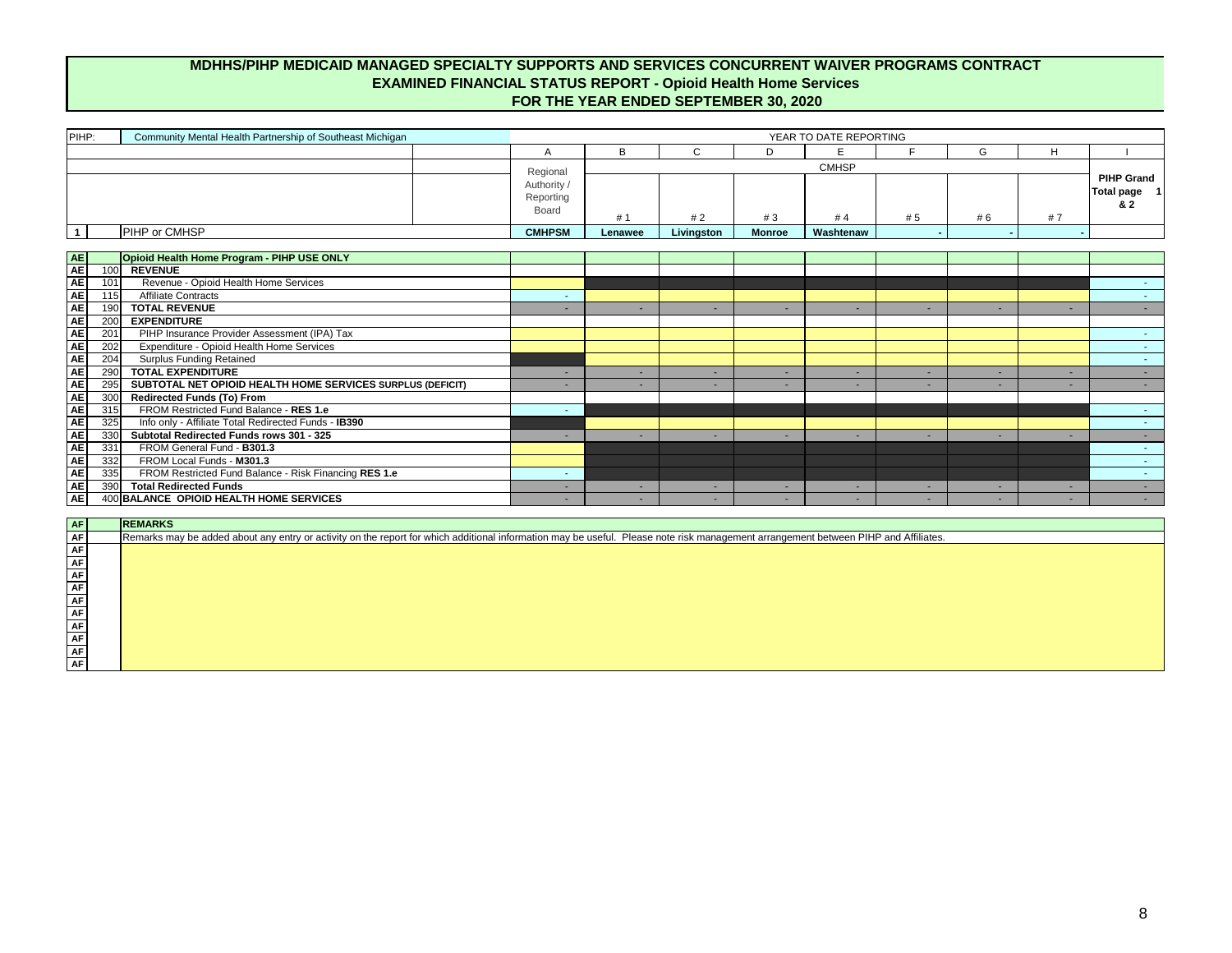| ---       |  |  |  |  |  |  |  |  |  |
|-----------|--|--|--|--|--|--|--|--|--|
| <b>AF</b> |  |  |  |  |  |  |  |  |  |
| , AF I    |  |  |  |  |  |  |  |  |  |
| <b>AF</b> |  |  |  |  |  |  |  |  |  |
| <b>AF</b> |  |  |  |  |  |  |  |  |  |
| , AF I    |  |  |  |  |  |  |  |  |  |
| <b>AF</b> |  |  |  |  |  |  |  |  |  |
| <b>AF</b> |  |  |  |  |  |  |  |  |  |
| <b>AF</b> |  |  |  |  |  |  |  |  |  |
| <b>AF</b> |  |  |  |  |  |  |  |  |  |
| <b>AF</b> |  |  |  |  |  |  |  |  |  |

| PIHP:                                                                                                      | Community Mental Health Partnership of Southeast Michigan                                                                                                                           | YEAR TO DATE REPORTING                               |         |              |               |              |     |     |                          |                                          |
|------------------------------------------------------------------------------------------------------------|-------------------------------------------------------------------------------------------------------------------------------------------------------------------------------------|------------------------------------------------------|---------|--------------|---------------|--------------|-----|-----|--------------------------|------------------------------------------|
|                                                                                                            |                                                                                                                                                                                     | A                                                    | B       | $\mathsf{C}$ | D             | E            | Е   | G   | H                        |                                          |
|                                                                                                            |                                                                                                                                                                                     |                                                      |         |              |               | <b>CMHSP</b> |     |     |                          |                                          |
|                                                                                                            |                                                                                                                                                                                     | Regional<br>Authority /<br>Reporting<br><b>Board</b> | #1      | #2           | #3            | #4           | # 5 | # 6 | #7                       | <b>PIHP Grand</b><br>Total page 1<br>& 2 |
| $\mathbf{1}$                                                                                               | PIHP or CMHSP                                                                                                                                                                       | <b>CMHPSM</b>                                        | Lenawee | Livingston   | <b>Monroe</b> | Washtenaw    |     |     |                          |                                          |
|                                                                                                            |                                                                                                                                                                                     |                                                      |         |              |               |              |     |     |                          |                                          |
|                                                                                                            | Opioid Health Home Program - PIHP USE ONLY                                                                                                                                          |                                                      |         |              |               |              |     |     |                          |                                          |
| 100                                                                                                        | <b>REVENUE</b>                                                                                                                                                                      |                                                      |         |              |               |              |     |     |                          |                                          |
| 101                                                                                                        | Revenue - Opioid Health Home Services                                                                                                                                               |                                                      |         |              |               |              |     |     |                          |                                          |
| 115                                                                                                        | <b>Affiliate Contracts</b>                                                                                                                                                          |                                                      |         |              |               |              |     |     |                          | $\sim 10$                                |
| AE<br>AE<br>AE<br>AE<br>AE<br>AE<br>190                                                                    | <b>TOTAL REVENUE</b>                                                                                                                                                                |                                                      | ٠       | $\sim$       |               | ۰            |     |     | $\sim$                   | $\sim 100$                               |
| 200                                                                                                        | <b>EXPENDITURE</b>                                                                                                                                                                  |                                                      |         |              |               |              |     |     |                          |                                          |
| $\frac{ \mathbf{A} }{ \mathbf{A} }$<br>201                                                                 | PIHP Insurance Provider Assessment (IPA) Tax                                                                                                                                        |                                                      |         |              |               |              |     |     |                          | <b>Section</b>                           |
| 202                                                                                                        | Expenditure - Opioid Health Home Services                                                                                                                                           |                                                      |         |              |               |              |     |     |                          | $\sim 10$                                |
| <b>AE</b><br>204                                                                                           | <b>Surplus Funding Retained</b>                                                                                                                                                     |                                                      |         |              |               |              |     |     |                          | $\sim 100$                               |
| <b>AE</b><br>290                                                                                           | <b>TOTAL EXPENDITURE</b>                                                                                                                                                            | $\sim$                                               | ٠       | $\sim$       |               | ۰            |     | ۰.  | $\sim$                   | $\sim$ 10 $\pm$                          |
| <b>AE</b><br>295                                                                                           | SUBTOTAL NET OPIOID HEALTH HOME SERVICES SURPLUS (DEFICIT)                                                                                                                          |                                                      |         | н.           |               | ۰            |     |     |                          |                                          |
| $\overline{300}$                                                                                           | <b>Redirected Funds (To) From</b>                                                                                                                                                   |                                                      |         |              |               |              |     |     |                          |                                          |
| 315                                                                                                        | FROM Restricted Fund Balance - RES 1.e                                                                                                                                              |                                                      |         |              |               |              |     |     |                          | $\sim 100$                               |
| 325                                                                                                        | Info only - Affiliate Total Redirected Funds - IB390                                                                                                                                |                                                      |         |              |               |              |     |     |                          | $\sim 10$                                |
| <u> 부<mark>님</mark> 부</u> 는<br>330                                                                         | Subtotal Redirected Funds rows 301 - 325                                                                                                                                            | $\sim$                                               | $\sim$  | $\sim$       |               | ٠.           |     | ٠   | $\sim$                   | $\sim 100$                               |
| 331<br><b>AE</b><br>332                                                                                    | FROM General Fund - B301.3<br>FROM Local Funds - M301.3                                                                                                                             |                                                      |         |              |               |              |     |     |                          |                                          |
| 335                                                                                                        | FROM Restricted Fund Balance - Risk Financing RES 1.e                                                                                                                               | <b>Section</b>                                       |         |              |               |              |     |     |                          | $\sim 10$                                |
| AE<br>AE<br>390                                                                                            | <b>Total Redirected Funds</b>                                                                                                                                                       |                                                      | ٠       | $\sim$       |               | ٠            |     |     | $\overline{\phantom{a}}$ |                                          |
| <b>AE</b>                                                                                                  | 400 BALANCE OPIOID HEALTH HOME SERVICES                                                                                                                                             |                                                      | ۰.      | $\sim$       |               | ۰            |     | ٠   | $\sim$                   | $\sim 100$                               |
|                                                                                                            |                                                                                                                                                                                     |                                                      |         |              |               |              |     |     |                          |                                          |
|                                                                                                            | <b>REMARKS</b>                                                                                                                                                                      |                                                      |         |              |               |              |     |     |                          |                                          |
|                                                                                                            | Remarks may be added about any entry or activity on the report for which additional information may be useful. Please note risk management arrangement between PIHP and Affiliates. |                                                      |         |              |               |              |     |     |                          |                                          |
| $\begin{array}{ c c }\n\hline\n\text{AF} \\ \hline\n\text{AF} \\ \hline\n\text{AF} \\ \hline\n\end{array}$ |                                                                                                                                                                                     |                                                      |         |              |               |              |     |     |                          |                                          |

## **MDHHS/PIHP MEDICAID MANAGED SPECIALTY SUPPORTS AND SERVICES CONCURRENT WAIVER PROGRAMS CONTRACT EXAMINED FINANCIAL STATUS REPORT - Opioid Health Home Services FOR THE YEAR ENDED SEPTEMBER 30, 2020**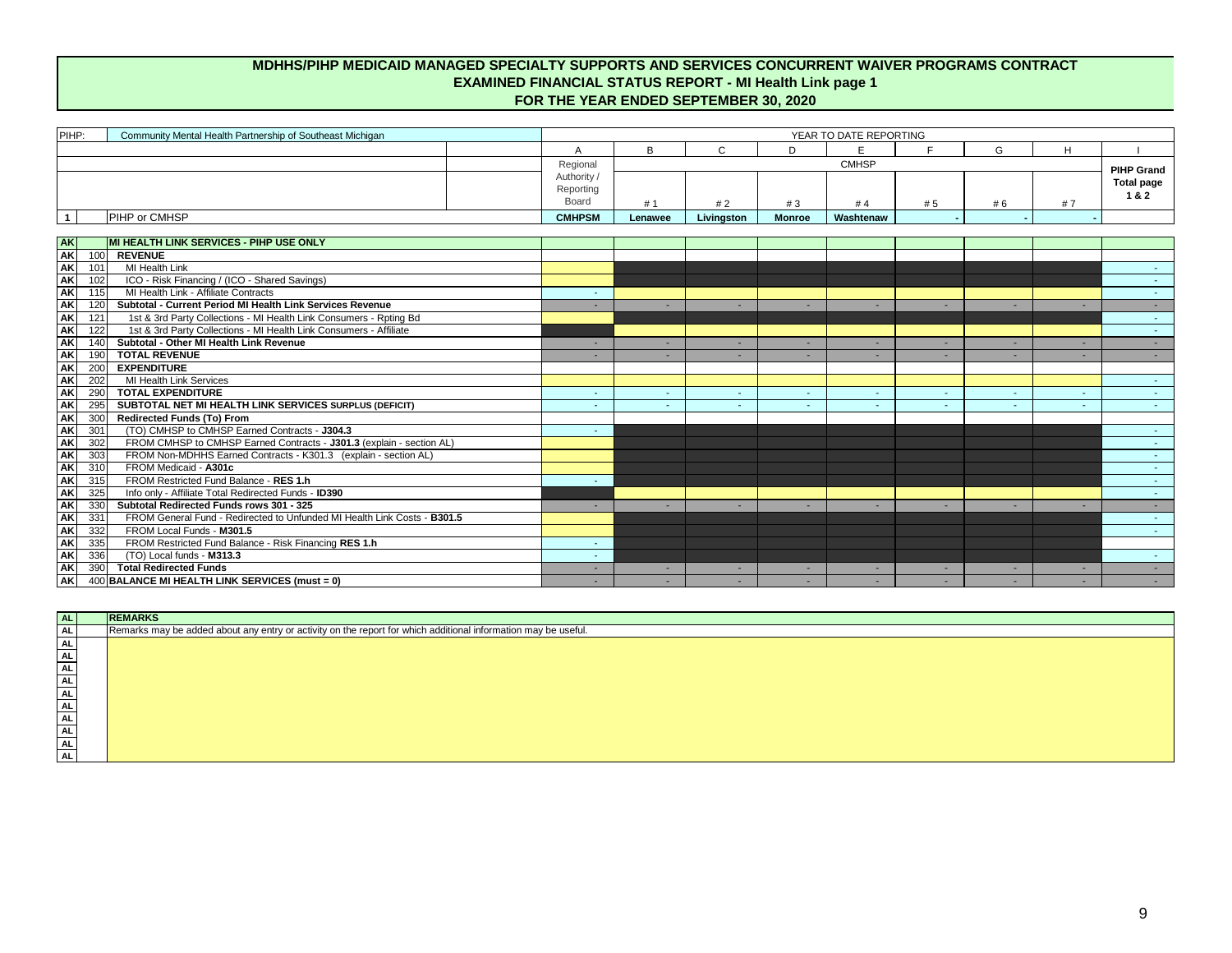| PIHP:                         | Community Mental Health Partnership of Southeast Michigan                 | YEAR TO DATE REPORTING |         |                          |               |              |                          |        |    |                   |
|-------------------------------|---------------------------------------------------------------------------|------------------------|---------|--------------------------|---------------|--------------|--------------------------|--------|----|-------------------|
|                               |                                                                           | A                      | B       | $\mathsf{C}$             | D             | E            | Е                        | G      | H  |                   |
|                               |                                                                           | Regional               |         |                          |               | <b>CMHSP</b> |                          |        |    | <b>PIHP Grand</b> |
|                               |                                                                           | Authority /            |         |                          |               |              |                          |        |    | <b>Total page</b> |
|                               |                                                                           | Reporting              |         |                          |               |              |                          |        |    | 1&2               |
|                               |                                                                           | <b>Board</b>           | #1      | #2                       | #3            | #4           | #5                       | # 6    | #7 |                   |
| $\overline{1}$                | <b>PIHP or CMHSP</b>                                                      | <b>CMHPSM</b>          | Lenawee | Livingston               | <b>Monroe</b> | Washtenaw    |                          |        |    |                   |
|                               |                                                                           |                        |         |                          |               |              |                          |        |    |                   |
| <b>AK</b>                     | MI HEALTH LINK SERVICES - PIHP USE ONLY                                   |                        |         |                          |               |              |                          |        |    |                   |
| <b>AK</b><br>100              | <b>REVENUE</b>                                                            |                        |         |                          |               |              |                          |        |    |                   |
| <b>AK</b><br>101              | <b>MI Health Link</b>                                                     |                        |         |                          |               |              |                          |        |    |                   |
| AK<br>102                     | ICO - Risk Financing / (ICO - Shared Savings)                             |                        |         |                          |               |              |                          |        |    | $\sim$            |
| <b>AK</b><br>115              | MI Health Link - Affiliate Contracts                                      | $\sim$                 |         |                          |               |              |                          |        |    | $\sim$            |
| <b>AK</b><br>120              | Subtotal - Current Period MI Health Link Services Revenue                 |                        |         |                          |               |              |                          |        |    |                   |
| <b>AK</b><br>$\overline{121}$ | 1st & 3rd Party Collections - MI Health Link Consumers - Rpting Bd        |                        |         |                          |               |              |                          |        |    | $\sim$            |
| <b>AK</b>                     | 1st & 3rd Party Collections - MI Health Link Consumers - Affiliate<br>122 |                        |         |                          |               |              |                          |        |    | $\sim$            |
| <b>AK</b><br>140              | Subtotal - Other MI Health Link Revenue                                   | н.                     |         | $\overline{\phantom{a}}$ | $\sim$        |              | $\overline{\phantom{a}}$ | н.     |    | $\sim$            |
| <b>AK</b><br>190              | <b>TOTAL REVENUE</b>                                                      |                        |         |                          | $\sim$        |              |                          | н.     |    | $\sim$            |
| AK<br>200                     | <b>EXPENDITURE</b>                                                        |                        |         |                          |               |              |                          |        |    |                   |
| <b>AK</b><br>202              | <b>MI Health Link Services</b>                                            |                        |         |                          |               |              |                          |        |    | $\sim$ 10 $\pm$   |
| <b>AK</b><br>290              | <b>TOTAL EXPENDITURE</b>                                                  | $\sim$                 |         | $\sim$                   | $\sim$        |              |                          | $\sim$ |    | $\sim$            |
| <b>AK</b><br>295              | SUBTOTAL NET MI HEALTH LINK SERVICES SURPLUS (DEFICIT)                    |                        |         | ٠                        | $\sim$        |              |                          | $\sim$ |    | $\sim$            |
| <b>AK</b><br>300              | <b>Redirected Funds (To) From</b>                                         |                        |         |                          |               |              |                          |        |    |                   |
| <b>AK</b><br>301              | (TO) CMHSP to CMHSP Earned Contracts - J304.3                             |                        |         |                          |               |              |                          |        |    |                   |
| <b>AK</b><br>302              | FROM CMHSP to CMHSP Earned Contracts - J301.3 (explain - section AL)      |                        |         |                          |               |              |                          |        |    |                   |
| <b>AK</b><br>303              | FROM Non-MDHHS Earned Contracts - K301.3 (explain - section AL)           |                        |         |                          |               |              |                          |        |    |                   |
| AK                            | FROM Medicaid - A301c<br>310                                              |                        |         |                          |               |              |                          |        |    | $\sim$            |
| <b>AK</b>                     | FROM Restricted Fund Balance - RES 1.h<br>315                             |                        |         |                          |               |              |                          |        |    | <b>Section</b>    |
| <b>AK</b><br>325              | Info only - Affiliate Total Redirected Funds - ID390                      |                        |         |                          |               |              |                          |        |    |                   |
| AK<br>330                     | Subtotal Redirected Funds rows 301 - 325                                  |                        |         |                          |               |              |                          |        |    |                   |
| AK<br>$\overline{331}$        | FROM General Fund - Redirected to Unfunded MI Health Link Costs - B301.5  |                        |         |                          |               |              |                          |        |    |                   |
| AK<br>332                     | FROM Local Funds - M301.5                                                 |                        |         |                          |               |              |                          |        |    |                   |
| <b>AK</b><br>335              | FROM Restricted Fund Balance - Risk Financing RES 1.h                     |                        |         |                          |               |              |                          |        |    |                   |
| <b>AK</b>                     | (TO) Local funds - M313.3<br>336                                          |                        |         |                          |               |              |                          |        |    |                   |
| <b>AK</b>                     | <b>Total Redirected Funds</b><br>390                                      |                        |         |                          |               |              |                          |        |    |                   |
| $\overline{\mathsf{AK}}$      | 400 BALANCE MI HEALTH LINK SERVICES (must = 0)                            |                        | $\sim$  | $\sim$                   | <b>COL</b>    | <b>.</b>     | $\sim$                   | $\sim$ |    |                   |

## **MDHHS/PIHP MEDICAID MANAGED SPECIALTY SUPPORTS AND SERVICES CONCURRENT WAIVER PROGRAMS CONTRACT EXAMINED FINANCIAL STATUS REPORT - MI Health Link page 1 FOR THE YEAR ENDED SEPTEMBER 30, 2020**

| AL        | <b>REMARKS</b>                                                                                                 |
|-----------|----------------------------------------------------------------------------------------------------------------|
| <b>AL</b> | Remarks may be added about any entry or activity on the report for which additional information may be useful. |
| <b>AL</b> |                                                                                                                |
| AL        |                                                                                                                |
| AL        |                                                                                                                |
| AL        |                                                                                                                |
| AL        |                                                                                                                |
| AL        |                                                                                                                |
| AL        |                                                                                                                |
| AL        |                                                                                                                |
| AL        |                                                                                                                |
| AL.       |                                                                                                                |
|           |                                                                                                                |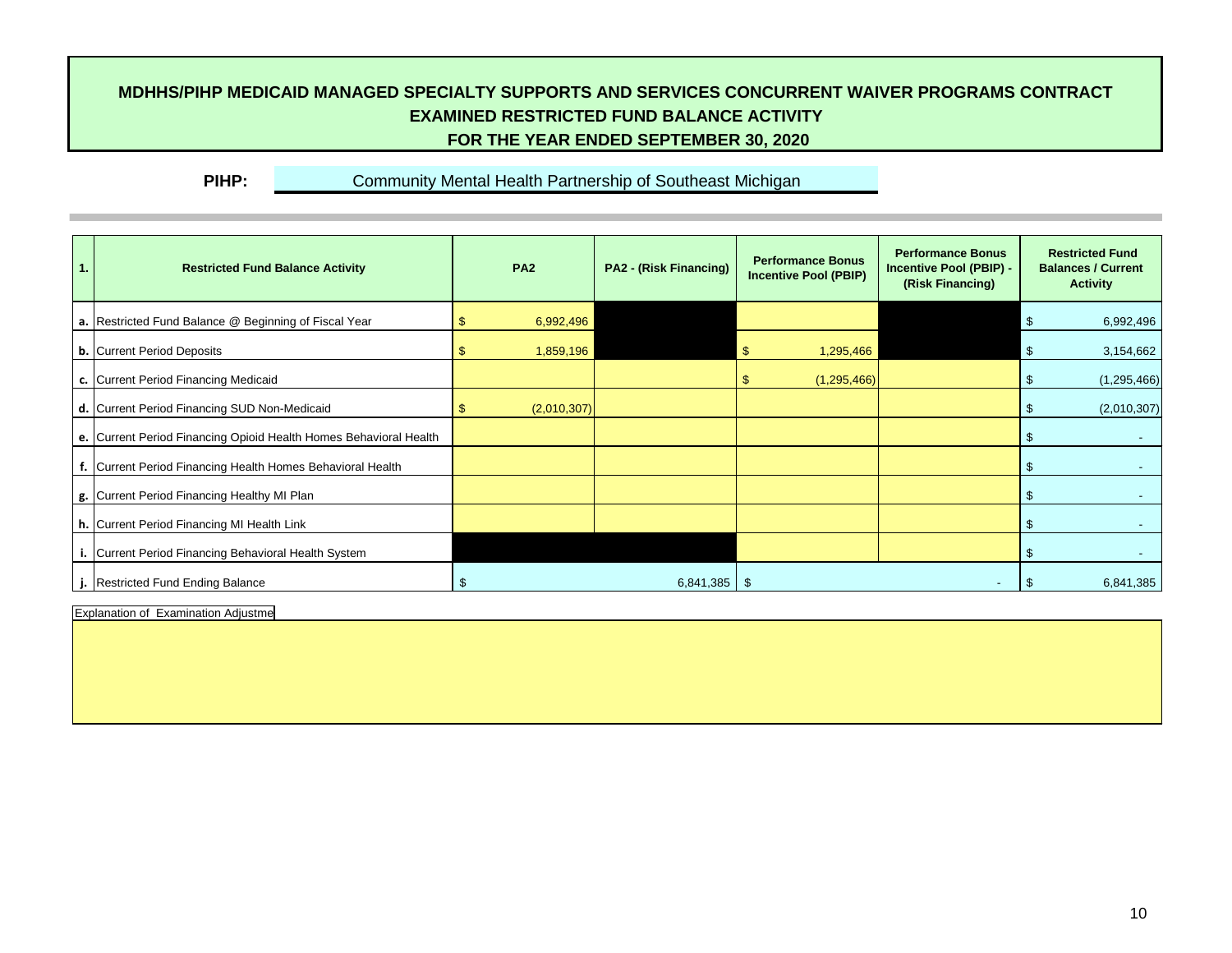## **MDHHS/PIHP MEDICAID MANAGED SPECIALTY SUPPORTS AND SERVICES CONCURRENT WAIVER PROGRAMS CONTRACT EXAMINED RESTRICTED FUND BALANCE ACTIVITY FOR THE YEAR ENDED SEPTEMBER 30, 2020**

**PIHP:** Community Mental Health Partnership of Southeast Michigan

| 1. | <b>Restricted Fund Balance Activity</b>                           | <b>PA2</b>  | <b>PA2 - (Risk Financing)</b> | <b>Performance Bonus</b><br><b>Incentive Pool (PBIP)</b> | <b>Performance Bonus</b><br><b>Incentive Pool (PBIP) -</b><br>(Risk Financing) | <b>Restricted Fund</b><br><b>Balances / Current</b><br><b>Activity</b> |
|----|-------------------------------------------------------------------|-------------|-------------------------------|----------------------------------------------------------|--------------------------------------------------------------------------------|------------------------------------------------------------------------|
|    | a. Restricted Fund Balance @ Beginning of Fiscal Year             | 6,992,496   |                               |                                                          |                                                                                | 6,992,496<br>$\sqrt[6]{3}$                                             |
|    | <b>b.</b> Current Period Deposits                                 | 1,859,196   |                               | 1,295,466<br>S.                                          |                                                                                | $\sqrt[6]{3}$<br>3,154,662                                             |
|    | c. Current Period Financing Medicaid                              |             |                               | (1,295,466)<br>$\mathfrak{F}$                            |                                                                                | (1, 295, 466)<br>- \$                                                  |
|    | d. Current Period Financing SUD Non-Medicaid                      | (2,010,307) |                               |                                                          |                                                                                | (2,010,307)<br>- SS                                                    |
|    | e. Current Period Financing Opioid Health Homes Behavioral Health |             |                               |                                                          |                                                                                | - SS                                                                   |
|    | f. Current Period Financing Health Homes Behavioral Health        |             |                               |                                                          |                                                                                | - S                                                                    |
|    | g. Current Period Financing Healthy MI Plan                       |             |                               |                                                          |                                                                                | \$                                                                     |
|    | h. Current Period Financing MI Health Link                        |             |                               |                                                          |                                                                                | \$                                                                     |
|    | Current Period Financing Behavioral Health System                 |             |                               |                                                          |                                                                                | \$                                                                     |
|    | j. Restricted Fund Ending Balance                                 |             | $6,841,385$ \$                |                                                          |                                                                                | 6,841,385                                                              |

Explanation of Examination Adjustme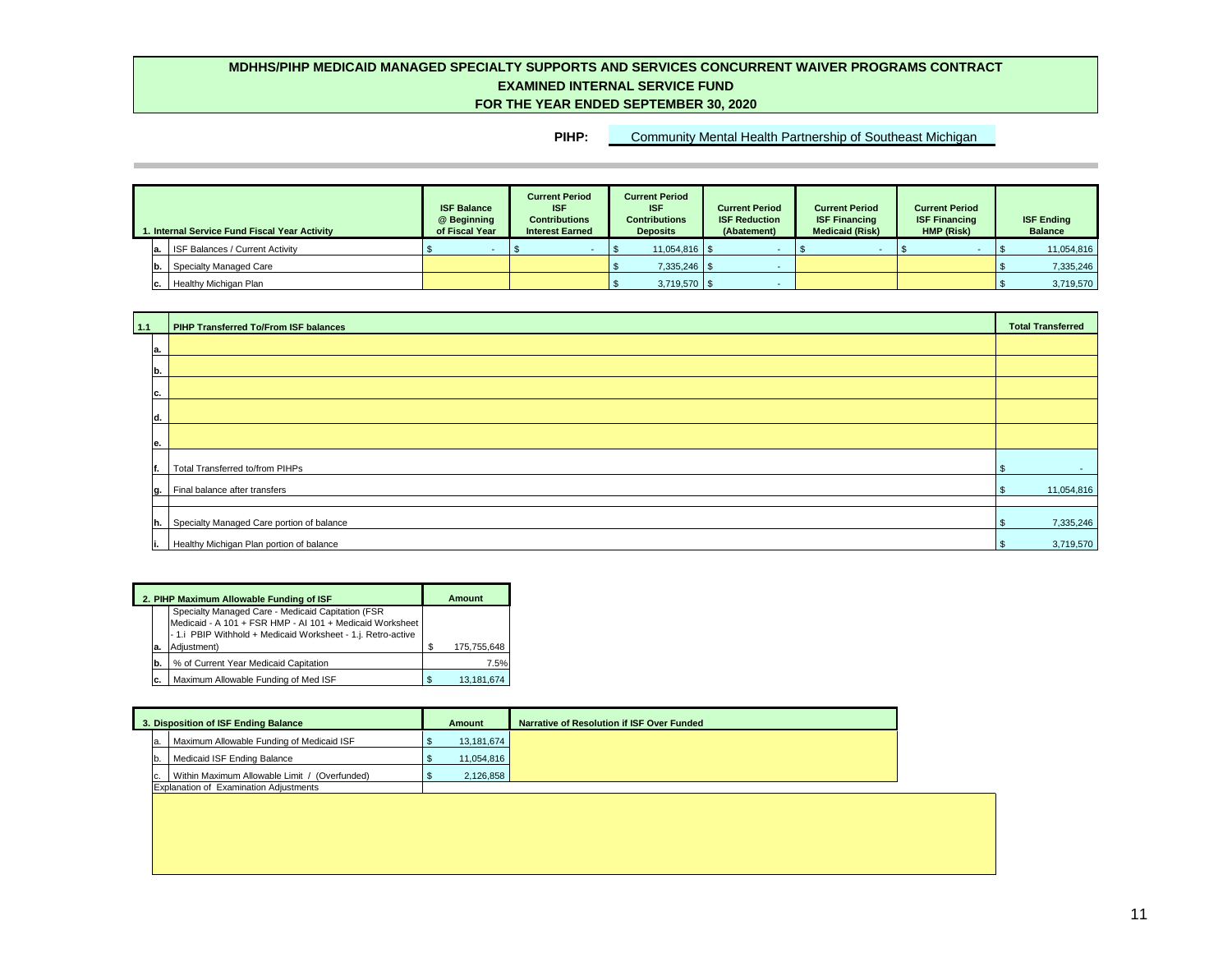| 1. Internal Service Fund Fiscal Year Activity |    |                                        | <b>ISF Balance</b><br>@ Beginning<br>of Fiscal Year | <b>Current Period</b><br><b>ISF</b><br><b>Contributions</b><br><b>Interest Earned</b> | <b>Current Period</b><br><b>ISF</b><br><b>Contributions</b><br><b>Deposits</b> | <b>Current Period</b><br><b>ISF Reduction</b><br>(Abatement) | <b>Current Period</b><br><b>ISF Financing</b><br><b>Medicaid (Risk)</b> | <b>Current Period</b><br><b>ISF Financing</b><br>HMP (Risk) | <b>ISF Ending</b><br><b>Balance</b> |
|-----------------------------------------------|----|----------------------------------------|-----------------------------------------------------|---------------------------------------------------------------------------------------|--------------------------------------------------------------------------------|--------------------------------------------------------------|-------------------------------------------------------------------------|-------------------------------------------------------------|-------------------------------------|
|                                               | a. | <b>ISF Balances / Current Activity</b> |                                                     |                                                                                       |                                                                                |                                                              |                                                                         |                                                             | 11,054,816                          |
|                                               |    | <b>Specialty Managed Care</b>          |                                                     |                                                                                       | $7,335,246$ \ \ \$                                                             |                                                              |                                                                         |                                                             | 7,335,246                           |
|                                               |    | <b>c.</b>   Healthy Michigan Plan      |                                                     |                                                                                       | $3,719,570$ \ \ \$                                                             |                                                              |                                                                         |                                                             | 3,719,570                           |

|    | 2. PIHP Maximum Allowable Funding of ISF                                                                                                                                                     |     | Amount      |
|----|----------------------------------------------------------------------------------------------------------------------------------------------------------------------------------------------|-----|-------------|
| а. | Specialty Managed Care - Medicaid Capitation (FSR<br>Medicaid - A 101 + FSR HMP - AI 101 + Medicaid Worksheet<br>- 1.i PBIP Withhold + Medicaid Worksheet - 1.j. Retro-active<br>Adjustment) | \$. | 175,755,648 |
| b. | % of Current Year Medicaid Capitation                                                                                                                                                        |     | 7.5%        |
| c. | Maximum Allowable Funding of Med ISF                                                                                                                                                         | S   | 13,181,674  |

| $\vert 1.1 \vert$ | <b>PIHP Transferred To/From ISF balances</b> |     | <b>Total Transferred</b> |
|-------------------|----------------------------------------------|-----|--------------------------|
| ∣a.               |                                              |     |                          |
| b.                |                                              |     |                          |
| IC.               |                                              |     |                          |
| ld.               |                                              |     |                          |
| le.               |                                              |     |                          |
|                   | Total Transferred to/from PIHPs              |     | $\sim$                   |
|                   | $ g. $ Final balance after transfers         |     | 11,054,816               |
| h.                | Specialty Managed Care portion of balance    |     | 7,335,246                |
| н.                | Healthy Michigan Plan portion of balance     | -\$ | 3,719,570                |

| 3. Disposition of ISF Ending Balance |     |                                               | Amount     | Narrative of Resolution if ISF Over Funded |
|--------------------------------------|-----|-----------------------------------------------|------------|--------------------------------------------|
|                                      | la. | Maximum Allowable Funding of Medicaid ISF     | 13,181,674 |                                            |
|                                      | Ib. | Medicaid ISF Ending Balance                   | 11,054,816 |                                            |
|                                      | IC. | Within Maximum Allowable Limit / (Overfunded) | 2,126,858  |                                            |
|                                      |     | <b>Explanation of Examination Adjustments</b> |            |                                            |

## **PIHP:** Community Mental Health Partnership of Southeast Michigan

| <b>Total Transferred</b>    |
|-----------------------------|
|                             |
|                             |
|                             |
|                             |
|                             |
| $\frac{1}{2}$               |
| 11,054,816<br>$\frac{1}{2}$ |
|                             |
| 7,335,246<br>$\pmb{\$}$     |
| 3,719,570<br>\$             |



## **MDHHS/PIHP MEDICAID MANAGED SPECIALTY SUPPORTS AND SERVICES CONCURRENT WAIVER PROGRAMS CONTRACT EXAMINED INTERNAL SERVICE FUND FOR THE YEAR ENDED SEPTEMBER 30, 2020**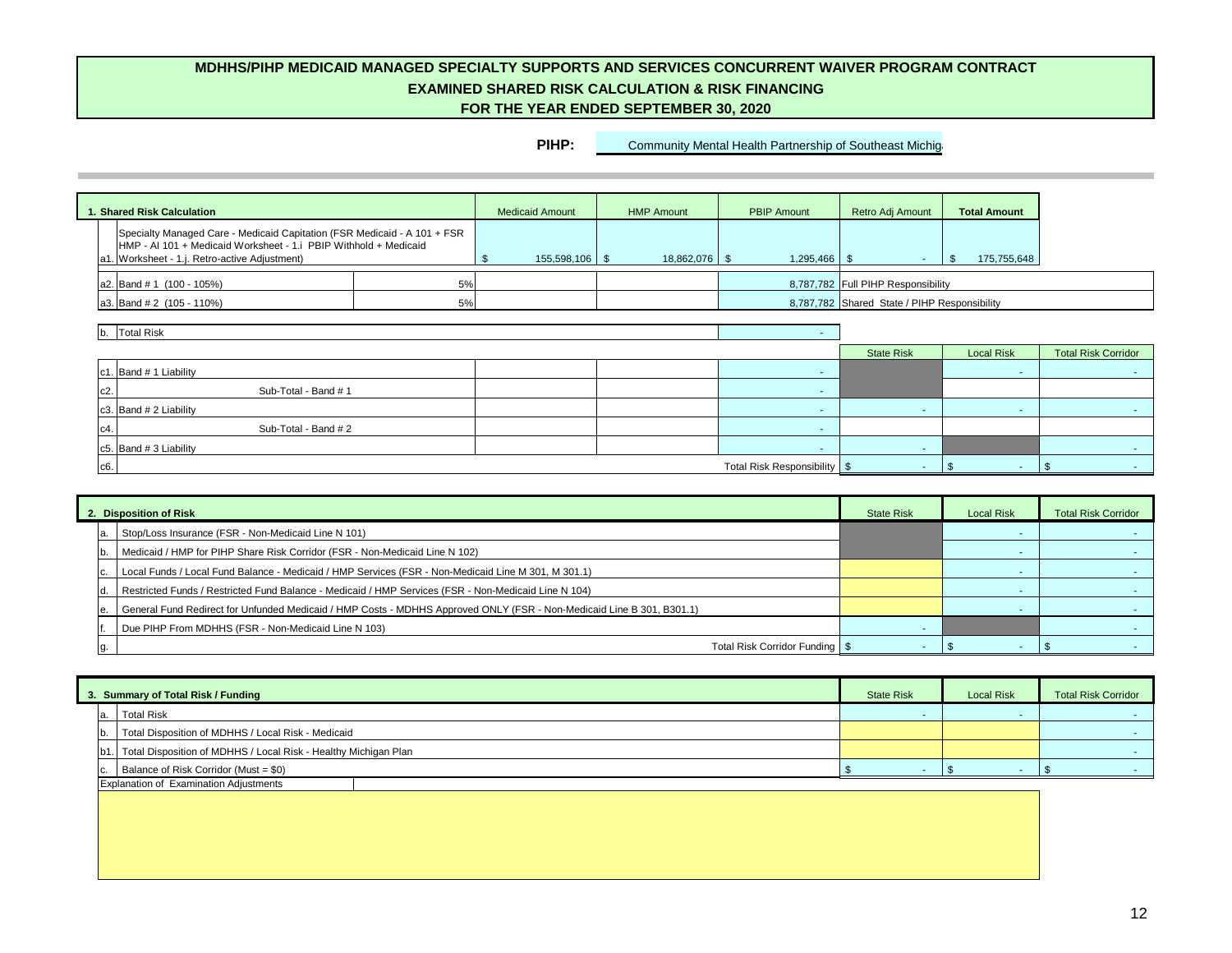| <b>1. Shared Risk Calculation</b>                                                                                                                                                                  |    | <b>Medicaid Amount</b> | <b>HMP Amount</b> | <b>PBIP Amount</b>             | Retro Adj Amount                             | <b>Total Amount</b>    |                            |
|----------------------------------------------------------------------------------------------------------------------------------------------------------------------------------------------------|----|------------------------|-------------------|--------------------------------|----------------------------------------------|------------------------|----------------------------|
| Specialty Managed Care - Medicaid Capitation (FSR Medicaid - A 101 + FSR<br>HMP - AI 101 + Medicaid Worksheet - 1.i PBIP Withhold + Medicaid<br>. Worksheet - 1.j. Retro-active Adjustment)<br>la1 |    | $155,598,106$ \$       | $18,862,076$ \$   |                                | $\sim$                                       | 175,755,648<br>-\$     |                            |
| $a2.$ Band # 1 (100 - 105%)                                                                                                                                                                        | 5% |                        |                   |                                | 8,787,782 Full PIHP Responsibility           |                        |                            |
| $ a3. $ Band # 2 (105 - 110%)                                                                                                                                                                      | 5% |                        |                   |                                | 8,787,782 Shared State / PIHP Responsibility |                        |                            |
| Total Risk                                                                                                                                                                                         |    |                        |                   |                                | <b>State Risk</b>                            | <b>Local Risk</b>      | <b>Total Risk Corridor</b> |
| c1. Band $# 1$ Liability                                                                                                                                                                           |    |                        |                   | $\sim$                         |                                              | $\sim$                 | $\sim$                     |
| c2.<br>Sub-Total - Band # 1                                                                                                                                                                        |    |                        |                   |                                |                                              |                        |                            |
| c3. Band $# 2$ Liability                                                                                                                                                                           |    |                        |                   | $\sim$                         | $\sim$                                       | $\sim$                 | <b>Contract</b>            |
| Sub-Total - Band # 2<br>٥4.                                                                                                                                                                        |    |                        |                   |                                |                                              |                        |                            |
| c5. Band $# 3$ Liability                                                                                                                                                                           |    |                        |                   |                                | $\sim$                                       |                        | <b>м.</b>                  |
| c6.                                                                                                                                                                                                |    |                        |                   | Total Risk Responsibility   \$ | $\sim$                                       | -36<br><b>Contract</b> | <b>м.</b>                  |

| 3. Summary of Total Risk / Funding                                    | <b>State Risk</b> | <b>Local Risk</b> | <b>Total Risk Corridor</b> |  |
|-----------------------------------------------------------------------|-------------------|-------------------|----------------------------|--|
| a. Total Risk                                                         | . .               |                   |                            |  |
| Total Disposition of MDHHS / Local Risk - Medicaid<br>Ib.             |                   |                   |                            |  |
| [b1.] Total Disposition of MDHHS / Local Risk - Healthy Michigan Plan |                   |                   |                            |  |
| Balance of Risk Corridor (Must = \$0)<br>Ic.                          |                   |                   |                            |  |
| Explanation of Examination Adjustments                                |                   |                   |                            |  |
|                                                                       |                   |                   |                            |  |
|                                                                       |                   |                   |                            |  |
|                                                                       |                   |                   |                            |  |
|                                                                       |                   |                   |                            |  |

| <b>Local Risk</b> | <b>Total Risk Corridor</b> |
|-------------------|----------------------------|
|                   |                            |
|                   |                            |
|                   |                            |
|                   |                            |

|  | 2. Disposition of Risk                                                                                                | <b>State Risk</b> | <b>Local Risk</b> | <b>Total Risk Corridor</b> |
|--|-----------------------------------------------------------------------------------------------------------------------|-------------------|-------------------|----------------------------|
|  | Stop/Loss Insurance (FSR - Non-Medicaid Line N 101)                                                                   |                   |                   |                            |
|  | Medicaid / HMP for PIHP Share Risk Corridor (FSR - Non-Medicaid Line N 102)                                           |                   |                   |                            |
|  | Local Funds / Local Fund Balance - Medicaid / HMP Services (FSR - Non-Medicaid Line M 301, M 301.1)                   |                   |                   |                            |
|  | Restricted Funds / Restricted Fund Balance - Medicaid / HMP Services (FSR - Non-Medicaid Line N 104)                  |                   |                   |                            |
|  | General Fund Redirect for Unfunded Medicaid / HMP Costs - MDHHS Approved ONLY (FSR - Non-Medicaid Line B 301, B301.1) |                   |                   |                            |
|  | Due PIHP From MDHHS (FSR - Non-Medicaid Line N 103)                                                                   |                   |                   |                            |
|  | Total Risk Corridor Funding   \$                                                                                      |                   |                   |                            |

## **MDHHS/PIHP MEDICAID MANAGED SPECIALTY SUPPORTS AND SERVICES CONCURRENT WAIVER PROGRAM CONTRACT EXAMINED SHARED RISK CALCULATION & RISK FINANCING FOR THE YEAR ENDED SEPTEMBER 30, 2020**

**PIHP:** Community Mental Health Partnership of Southeast Michigan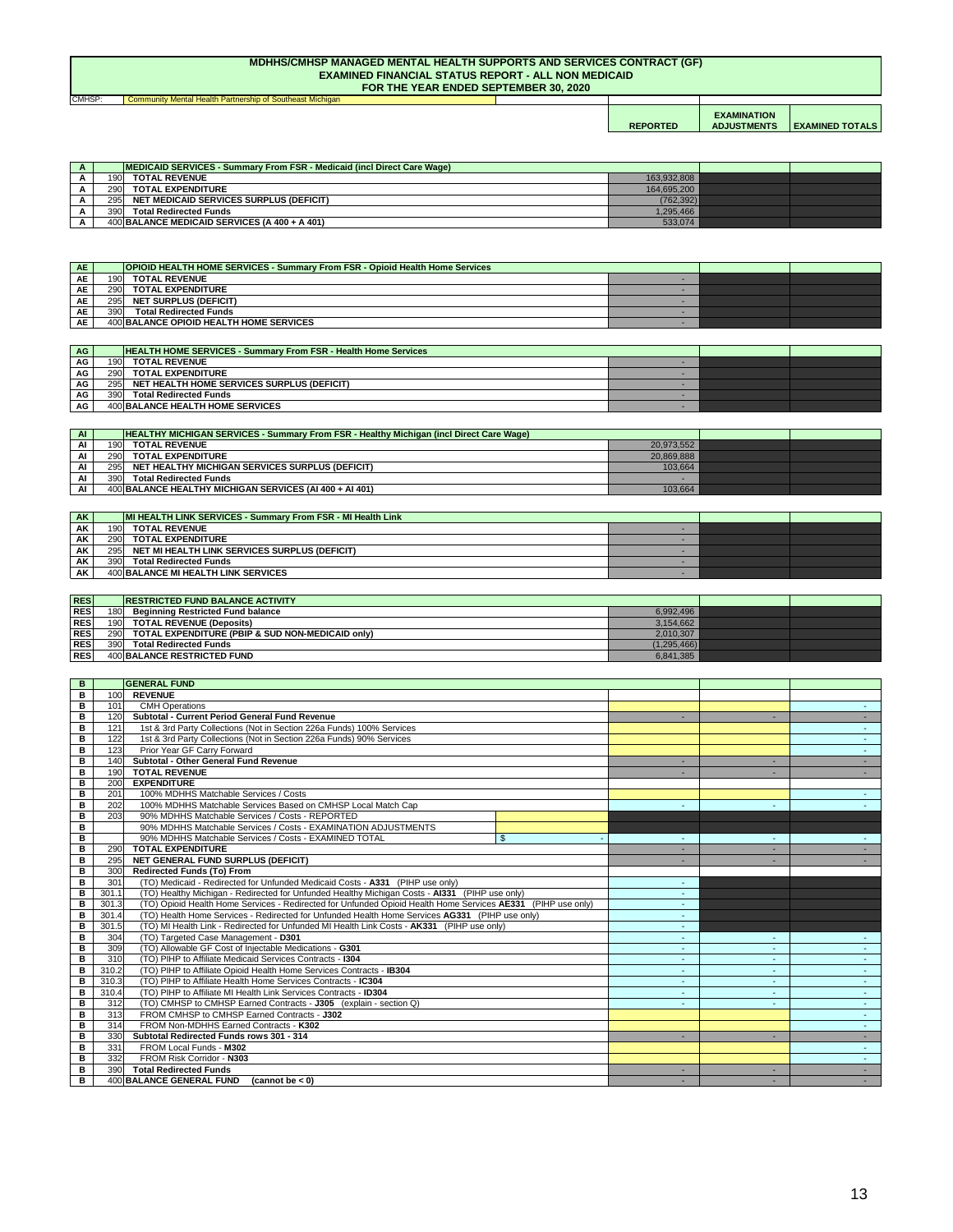| <b>CMHSP</b> | Community Mental Health Partnership of Southeast Michigan |                 |                                          |                        |
|--------------|-----------------------------------------------------------|-----------------|------------------------------------------|------------------------|
|              |                                                           | <b>REPORTED</b> | <b>EXAMINATION</b><br><b>ADJUSTMENTS</b> | <b>EXAMINED TOTALS</b> |

| A |      | <b>IMEDICAID SERVICES - Summary From FSR - Medicaid (incl Direct Care Wage)</b> |             |  |
|---|------|---------------------------------------------------------------------------------|-------------|--|
|   | 190I | <b>TOTAL REVENUE</b>                                                            | 163,932,808 |  |
|   |      | 290 TOTAL EXPENDITURE                                                           | 164,695,200 |  |
|   |      | 295 NET MEDICAID SERVICES SURPLUS (DEFICIT)                                     | (762, 392)  |  |
|   | 390I | <b>Total Redirected Funds</b>                                                   | 86,495,466  |  |
|   |      | $400$  BALANCE MEDICAID SERVICES (A 400 + A 401)                                | 533,074     |  |

| <b>AE</b> | <b>OPIOID HEALTH HOME SERVICES - Summary From FSR - Opioid Health Home Services</b> |                                         |  |  |
|-----------|-------------------------------------------------------------------------------------|-----------------------------------------|--|--|
| <b>AE</b> | 190                                                                                 | <b>TOTAL REVENUE</b>                    |  |  |
| <b>AE</b> | 290 <sup> </sup>                                                                    | <b>TOTAL EXPENDITURE</b>                |  |  |
| AE        | <b>2951</b>                                                                         | <b>NET SURPLUS (DEFICIT)</b>            |  |  |
| <b>AE</b> | 390                                                                                 | <b>Total Redirected Funds</b>           |  |  |
| <b>AE</b> |                                                                                     | 400 BALANCE OPIOID HEALTH HOME SERVICES |  |  |

| <b>AG</b> |     | <b>HEALTH HOME SERVICES - Summary From FSR - Health Home Services</b> |  |  |
|-----------|-----|-----------------------------------------------------------------------|--|--|
| AG        | 190 | <b>TOTAL REVENUE</b>                                                  |  |  |
| AG        | 290 | <b>TOTAL EXPENDITURE</b>                                              |  |  |
| AG        | 295 | <b>NET HEALTH HOME SERVICES SURPLUS (DEFICIT)</b>                     |  |  |
| AG        | 390 | <b>Total Redirected Funds</b>                                         |  |  |
| <b>AG</b> |     | 400 BALANCE HEALTH HOME SERVICES                                      |  |  |

| <b>AK</b> |            | <b>IMI HEALTH LINK SERVICES - Summary From FSR - MI Health Link</b> |  |  |
|-----------|------------|---------------------------------------------------------------------|--|--|
| <b>AK</b> | 190        | <b>TOTAL REVENUE</b>                                                |  |  |
| AK        | <b>290</b> | <b>TOTAL EXPENDITURE</b>                                            |  |  |
| AK        | 295 I      | NET MI HEALTH LINK SERVICES SURPLUS (DEFICIT)                       |  |  |
| <b>AK</b> | 390        | <b>Total Redirected Funds</b>                                       |  |  |
| <b>AK</b> |            | 400 BALANCE MI HEALTH LINK SERVICES                                 |  |  |

#### **MDHHS/CMHSP MANAGED MENTAL HEALTH SUPPORTS AND SERVICES CONTRACT (GF) EXAMINED FINANCIAL STATUS REPORT - ALL NON MEDICAID FOR THE YEAR ENDED SEPTEMBER 30, 2020**

| AI | <b>HEALTHY MICHIGAN SERVICES - Summary From FSR - Healthy Michigan (incl Direct Care Wage)</b> |            |  |
|----|------------------------------------------------------------------------------------------------|------------|--|
| Al | 190<br><b>TOTAL REVENUE</b>                                                                    | 20,973,552 |  |
| AI | 290<br><b>TOTAL EXPENDITURE</b>                                                                | 20,869,888 |  |
| Al | 295 <sup>1</sup><br>NET HEALTHY MICHIGAN SERVICES SURPLUS (DEFICIT)                            | 103,664    |  |
| AI | 390<br><b>Total Redirected Funds</b>                                                           |            |  |
| AI | 400 BALANCE HEALTHY MICHIGAN SERVICES (AI 400 + AI 401)                                        | 103,664    |  |

| <b>RES</b> |      | <b>IRESTRICTED FUND BALANCE ACTIVITY</b>         |               |  |
|------------|------|--------------------------------------------------|---------------|--|
| <b>RES</b> | 180  | <b>Beginning Restricted Fund balance</b>         | 6,992,496     |  |
| RES        | 1901 | <b>TOTAL REVENUE (Deposits)</b>                  | 3,154,662     |  |
| RES        | 290  | TOTAL EXPENDITURE (PBIP & SUD NON-MEDICAID only) | 2,010,307     |  |
| RES        | 390  | <b>Total Redirected Funds</b>                    | (1, 295, 466) |  |
| <b>RES</b> |      | 400 BALANCE RESTRICTED FUND                      | 6,841,385     |  |

| B           |       | <b>GENERAL FUND</b>                                                                                          |              |    |                  |
|-------------|-------|--------------------------------------------------------------------------------------------------------------|--------------|----|------------------|
| B           | 100   | <b>REVENUE</b>                                                                                               |              |    |                  |
| B           | 101   | <b>CMH Operations</b>                                                                                        |              |    | $\sim$ $-$       |
| B           | 120   | <b>Subtotal - Current Period General Fund Revenue</b>                                                        |              | ÷. | $\sim$           |
| $\mathbf B$ | 121   | 1st & 3rd Party Collections (Not in Section 226a Funds) 100% Services                                        |              |    | $\Delta \sim 10$ |
| B           | 122   | 1st & 3rd Party Collections (Not in Section 226a Funds) 90% Services                                         |              |    | $\sim$           |
| B           | 123   | Prior Year GF Carry Forward                                                                                  |              |    | $\sim$           |
| B           | 140   | <b>Subtotal - Other General Fund Revenue</b>                                                                 |              |    |                  |
| B           | 190   | <b>TOTAL REVENUE</b>                                                                                         |              |    | $\sim$           |
| $\mathbf B$ | 200   | <b>EXPENDITURE</b>                                                                                           |              |    |                  |
| B           | 201   | 100% MDHHS Matchable Services / Costs                                                                        |              |    | $\sim 100$       |
| $\mathbf B$ | 202   | 100% MDHHS Matchable Services Based on CMHSP Local Match Cap                                                 |              |    |                  |
| B           | 203   | 90% MDHHS Matchable Services / Costs - REPORTED                                                              |              |    |                  |
| B           |       | 90% MDHHS Matchable Services / Costs - EXAMINATION ADJUSTMENTS                                               |              |    |                  |
| B           |       | 90% MDHHS Matchable Services / Costs - EXAMINED TOTAL                                                        | $\mathbb{S}$ |    |                  |
| B           | 290   | <b>TOTAL EXPENDITURE</b>                                                                                     |              |    |                  |
| B           | 295   | NET GENERAL FUND SURPLUS (DEFICIT)                                                                           |              |    |                  |
| B           | 300   | <b>Redirected Funds (To) From</b>                                                                            |              |    |                  |
| B           | 301   | (TO) Medicaid - Redirected for Unfunded Medicaid Costs - A331 (PIHP use only)                                |              |    |                  |
| B           | 301.1 | (TO) Healthy Michigan - Redirected for Unfunded Healthy Michigan Costs - AI331 (PIHP use only)               |              |    |                  |
| В           | 301.3 | (TO) Opioid Health Home Services - Redirected for Unfunded Opioid Health Home Services AE331 (PIHP use only) |              |    |                  |
| B           | 301.4 | (TO) Health Home Services - Redirected for Unfunded Health Home Services AG331 (PIHP use only)               |              |    |                  |
| В           | 301.5 | (TO) MI Health Link - Redirected for Unfunded MI Health Link Costs - AK331 (PIHP use only)                   |              |    |                  |
| В           | 304   | (TO) Targeted Case Management - D301                                                                         |              |    |                  |
| В           | 309   | (TO) Allowable GF Cost of Injectable Medications - G301                                                      |              |    |                  |
| B           | 310   | (TO) PIHP to Affiliate Medicaid Services Contracts - 1304                                                    |              |    | $\sim$           |
| В           | 310.2 | (TO) PIHP to Affiliate Opioid Health Home Services Contracts - IB304                                         |              |    | $\sim$           |
| В           | 310.3 | (TO) PIHP to Affiliate Health Home Services Contracts - IC304                                                |              | ÷  | $\sim$           |
| B           | 310.4 | (TO) PIHP to Affiliate MI Health Link Services Contracts - ID304                                             |              |    | $\sim$           |
| В           | 312   | (TO) CMHSP to CMHSP Earned Contracts - J305 (explain - section Q)                                            |              |    | $\sim$           |
| B           | 313   | FROM CMHSP to CMHSP Earned Contracts - J302                                                                  |              |    |                  |
| B           | 314   | FROM Non-MDHHS Earned Contracts - K302                                                                       |              |    |                  |
| B           | 330   | Subtotal Redirected Funds rows 301 - 314                                                                     |              |    |                  |
| B           | 331   | FROM Local Funds - M302                                                                                      |              |    |                  |
| B           | 332   | FROM Risk Corridor - N303                                                                                    |              |    |                  |
| В           | 390   | <b>Total Redirected Funds</b>                                                                                |              |    |                  |
| B           |       | 400 BALANCE GENERAL FUND<br>(cannot be $< 0$ )                                                               |              |    |                  |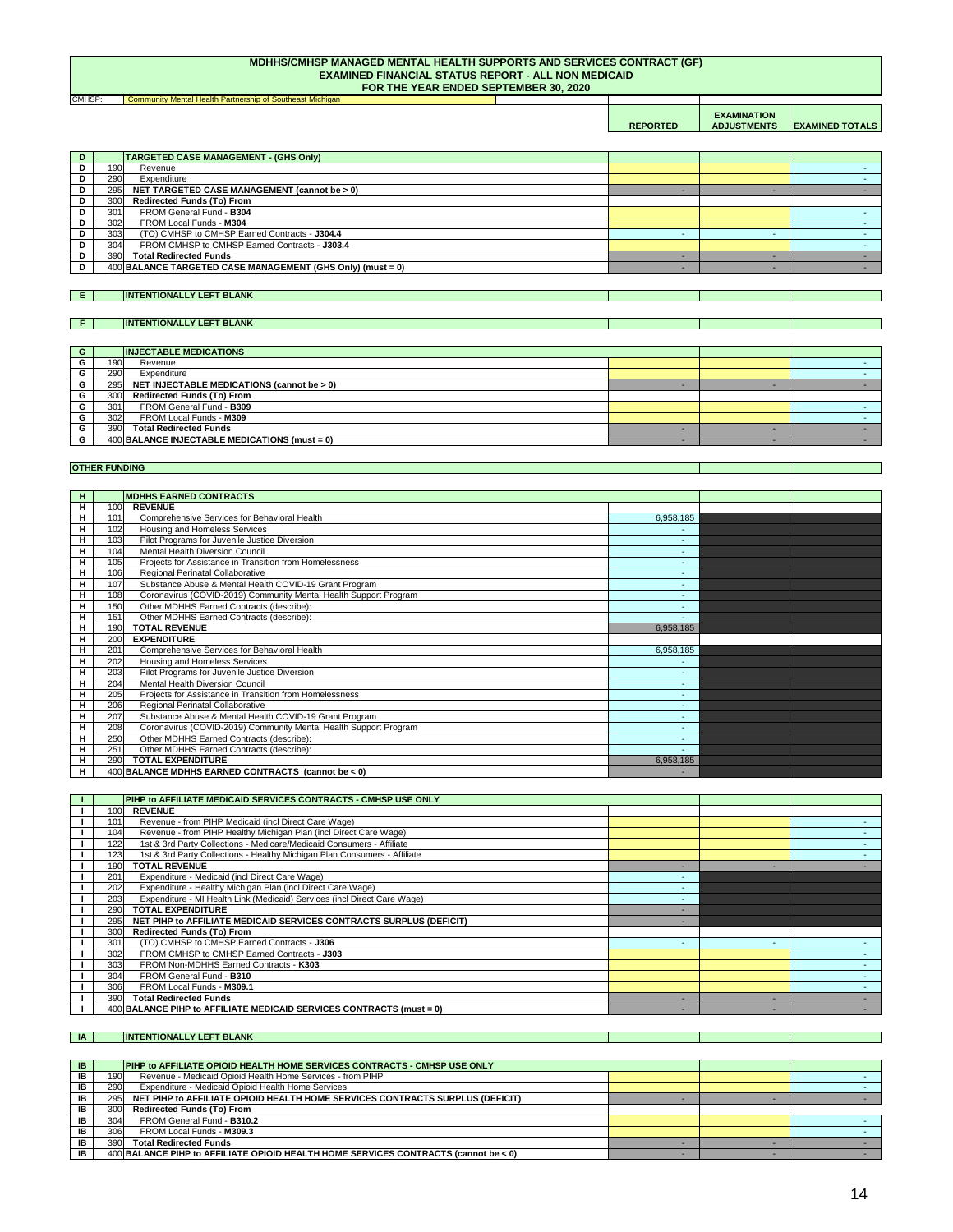**Community Mental Health Partnership of Southeast Michigan REPORTED EXAMINATION ADJUSTMENTS EXAMINED TOTALS** CMHSP:

#### **MDHHS/CMHSP MANAGED MENTAL HEALTH SUPPORTS AND SERVICES CONTRACT (GF) EXAMINED FINANCIAL STATUS REPORT - ALL NON MEDICAID FOR THE YEAR ENDED SEPTEMBER 30, 2020**

**E**

**F**

| G |                  | <b>INJECTABLE MEDICATIONS</b>                   |  |  |
|---|------------------|-------------------------------------------------|--|--|
|   | 190 <sub>I</sub> | Revenue                                         |  |  |
|   | 290              | Expenditure                                     |  |  |
|   | 295              | NET INJECTABLE MEDICATIONS (cannot be > 0)      |  |  |
|   | 300              | <b>Redirected Funds (To) From</b>               |  |  |
|   | 301              | FROM General Fund - B309                        |  |  |
|   | 302              | FROM Local Funds - M309                         |  |  |
|   | 390              | <b>Total Redirected Funds</b>                   |  |  |
|   |                  | $400$ BALANCE INJECTABLE MEDICATIONS (must = 0) |  |  |

# **INTENTIONALLY LEFT BLANK**

| A | <b>ANK</b><br><b>INTI</b><br>- -<br>ш<br>л. |  |  |
|---|---------------------------------------------|--|--|
|   |                                             |  |  |

|   | <b>MDHHS EARNED CONTRACTS</b><br>H |                                                                  |                          |  |  |  |  |  |
|---|------------------------------------|------------------------------------------------------------------|--------------------------|--|--|--|--|--|
|   |                                    |                                                                  |                          |  |  |  |  |  |
| н | 100                                | <b>REVENUE</b>                                                   |                          |  |  |  |  |  |
| н | 101                                | Comprehensive Services for Behavioral Health                     | 6,958,185                |  |  |  |  |  |
| H | 102                                | Housing and Homeless Services                                    |                          |  |  |  |  |  |
| н | 103                                | Pilot Programs for Juvenile Justice Diversion                    |                          |  |  |  |  |  |
| н | 104                                | <b>Mental Health Diversion Council</b>                           |                          |  |  |  |  |  |
| н | 105                                | Projects for Assistance in Transition from Homelessness          | ٠                        |  |  |  |  |  |
| н | 106                                | Regional Perinatal Collaborative                                 |                          |  |  |  |  |  |
| н | 107                                | Substance Abuse & Mental Health COVID-19 Grant Program           | $\overline{\phantom{a}}$ |  |  |  |  |  |
| H | 108                                | Coronavirus (COVID-2019) Community Mental Health Support Program |                          |  |  |  |  |  |
| н | 150                                | Other MDHHS Earned Contracts (describe):                         |                          |  |  |  |  |  |
| Н | 151                                | Other MDHHS Earned Contracts (describe):                         |                          |  |  |  |  |  |
| н | 190                                | <b>TOTAL REVENUE</b>                                             | 6,958,185                |  |  |  |  |  |
| н | 200                                | <b>EXPENDITURE</b>                                               |                          |  |  |  |  |  |
| н | 201                                | Comprehensive Services for Behavioral Health                     | 6,958,185                |  |  |  |  |  |
| н | 202                                | Housing and Homeless Services                                    |                          |  |  |  |  |  |
| H | 203                                | Pilot Programs for Juvenile Justice Diversion                    | ٠                        |  |  |  |  |  |
| н | 204                                | <b>Mental Health Diversion Council</b>                           | ٠                        |  |  |  |  |  |
| н | 205                                | Projects for Assistance in Transition from Homelessness          |                          |  |  |  |  |  |
| н | 206                                | Regional Perinatal Collaborative                                 |                          |  |  |  |  |  |
| н | 207                                | Substance Abuse & Mental Health COVID-19 Grant Program           | ٠                        |  |  |  |  |  |
| н | 208                                | Coronavirus (COVID-2019) Community Mental Health Support Program | ٠                        |  |  |  |  |  |
| H | 250                                | Other MDHHS Earned Contracts (describe):                         |                          |  |  |  |  |  |
| Н | 251                                | Other MDHHS Earned Contracts (describe):                         |                          |  |  |  |  |  |
| н | 290                                | <b>TOTAL EXPENDITURE</b>                                         | 6,958,185                |  |  |  |  |  |
| н |                                    | 400 BALANCE MDHHS EARNED CONTRACTS (cannot be < 0)               |                          |  |  |  |  |  |

| $\mathbf{D}$ |                  | <b>TARGETED CASE MANAGEMENT - (GHS Only)</b>               |  |  |
|--------------|------------------|------------------------------------------------------------|--|--|
| D            | 190 I            | Revenue                                                    |  |  |
|              | 290              | Expenditure                                                |  |  |
|              | 295              | NET TARGETED CASE MANAGEMENT (cannot be > 0)               |  |  |
|              | 300 <sup>-</sup> | <b>Redirected Funds (To) From</b>                          |  |  |
|              | 301              | FROM General Fund - B304                                   |  |  |
|              | 302 <sub>1</sub> | FROM Local Funds - M304                                    |  |  |
|              | 303              | (TO) CMHSP to CMHSP Earned Contracts - J304.4              |  |  |
|              | 304              | FROM CMHSP to CMHSP Earned Contracts - J303.4              |  |  |
|              | 390 <sup> </sup> | <b>Total Redirected Funds</b>                              |  |  |
|              |                  | 400 BALANCE TARGETED CASE MANAGEMENT (GHS Only) (must = 0) |  |  |

| IB | <b>PIHP to AFFILIATE OPIOID HEALTH HOME SERVICES CONTRACTS - CMHSP USE ONLY</b>      |  |  |
|----|--------------------------------------------------------------------------------------|--|--|
| IB | Revenue - Medicaid Opioid Health Home Services - from PIHP<br>1901                   |  |  |
| IB | Expenditure - Medicaid Opioid Health Home Services<br>290                            |  |  |
| IB | NET PIHP to AFFILIATE OPIOID HEALTH HOME SERVICES CONTRACTS SURPLUS (DEFICIT)<br>295 |  |  |
| IB | <b>Redirected Funds (To) From</b><br>300                                             |  |  |
| IB | FROM General Fund - B310.2<br>304                                                    |  |  |
| IB | FROM Local Funds - M309.3<br>306                                                     |  |  |
| ΙB | <b>Total Redirected Funds</b><br>390                                                 |  |  |
| IΒ | 400 BALANCE PIHP to AFFILIATE OPIOID HEALTH HOME SERVICES CONTRACTS (cannot be < 0)  |  |  |

|     | PIHP to AFFILIATE MEDICAID SERVICES CONTRACTS - CMHSP USE ONLY            |                          |    |  |
|-----|---------------------------------------------------------------------------|--------------------------|----|--|
| 100 | <b>REVENUE</b>                                                            |                          |    |  |
| 101 | Revenue - from PIHP Medicaid (incl Direct Care Wage)                      |                          |    |  |
| 104 | Revenue - from PIHP Healthy Michigan Plan (incl Direct Care Wage)         |                          |    |  |
| 122 | 1st & 3rd Party Collections - Medicare/Medicaid Consumers - Affiliate     |                          |    |  |
| 123 | 1st & 3rd Party Collections - Healthy Michigan Plan Consumers - Affiliate |                          |    |  |
| 190 | <b>TOTAL REVENUE</b>                                                      |                          |    |  |
| 201 | Expenditure - Medicaid (incl Direct Care Wage)                            | $\overline{\phantom{a}}$ |    |  |
| 202 | Expenditure - Healthy Michigan Plan (incl Direct Care Wage)               |                          |    |  |
| 203 | Expenditure - MI Health Link (Medicaid) Services (incl Direct Care Wage)  |                          |    |  |
| 290 | <b>TOTAL EXPENDITURE</b>                                                  |                          |    |  |
| 295 | NET PIHP to AFFILIATE MEDICAID SERVICES CONTRACTS SURPLUS (DEFICIT)       |                          |    |  |
| 300 | <b>Redirected Funds (To) From</b>                                         |                          |    |  |
| 301 | (TO) CMHSP to CMHSP Earned Contracts - J306                               | $\overline{\phantom{a}}$ | н. |  |
| 302 | FROM CMHSP to CMHSP Earned Contracts - J303                               |                          |    |  |
| 303 | FROM Non-MDHHS Earned Contracts - K303                                    |                          |    |  |
| 304 | FROM General Fund - B310                                                  |                          |    |  |
| 306 | FROM Local Funds - M309.1                                                 |                          |    |  |
| 390 | <b>Total Redirected Funds</b>                                             |                          |    |  |
|     | 400 BALANCE PIHP to AFFILIATE MEDICAID SERVICES CONTRACTS (must = 0)      |                          |    |  |

#### **OTHER FUNDING**

**INTENTIONALLY LEFT BLANK**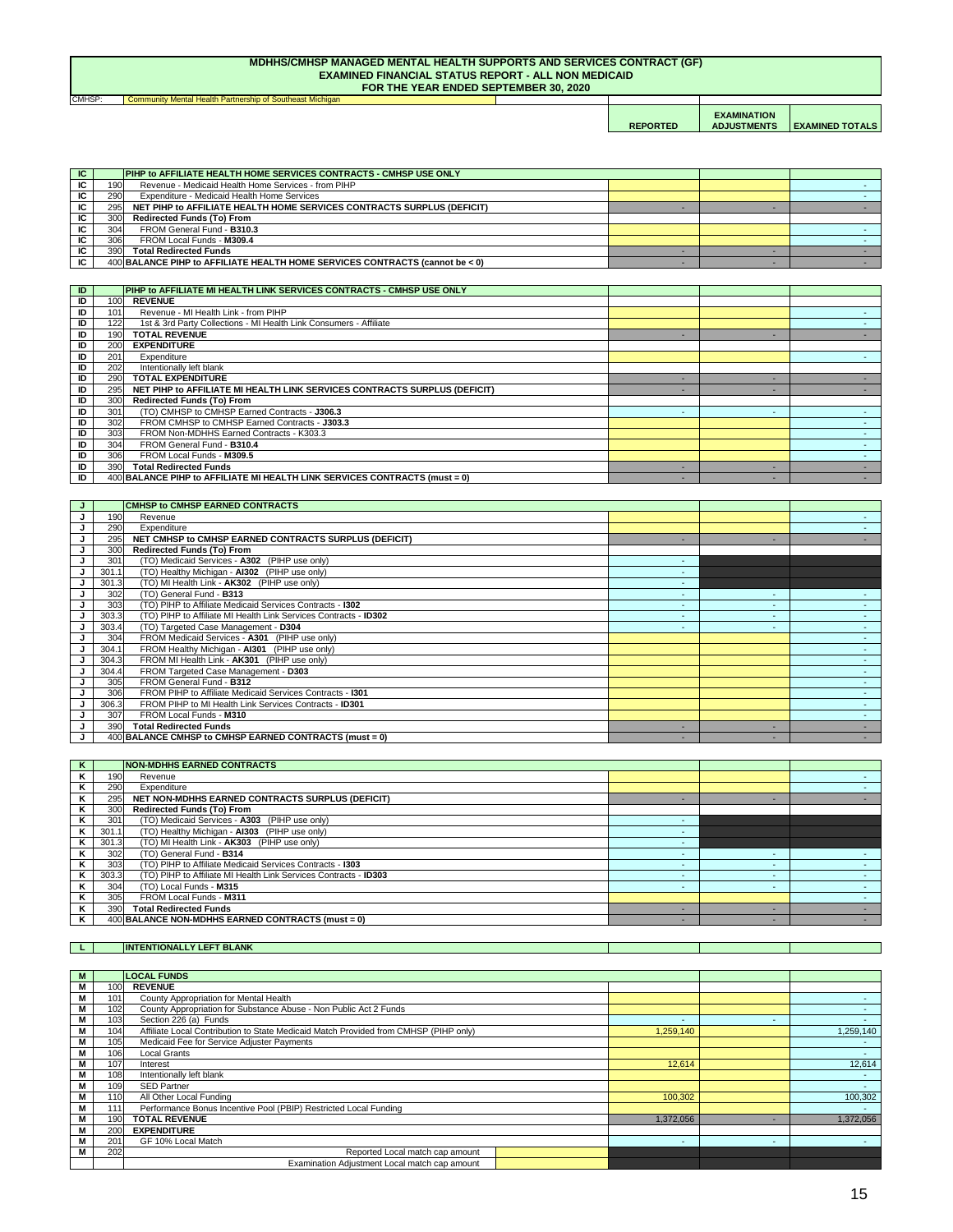| CMHSP: | Community Mental Health Partnership of Southeast Michigan |                 |                                          |                        |
|--------|-----------------------------------------------------------|-----------------|------------------------------------------|------------------------|
|        |                                                           | <b>REPORTED</b> | <b>EXAMINATION</b><br><b>ADJUSTMENTS</b> | <b>EXAMINED TOTALS</b> |

#### **MDHHS/CMHSP MANAGED MENTAL HEALTH SUPPORTS AND SERVICES CONTRACT (GF) EXAMINED FINANCIAL STATUS REPORT - ALL NON MEDICAID FOR THE YEAR ENDED SEPTEMBER 30, 2020**

**L INTENTIONALLY LEFT BLANK** 

| $\overline{1}$<br>$\bf{I}$ |     | <b>NON-MDHHS EARNED CONTRACTS</b> |  |  |
|----------------------------|-----|-----------------------------------|--|--|
| $\mathbf{z}$<br>-          | 190 | Revenue                           |  |  |

| K | 290   | Expenditure                                                      |  |  |
|---|-------|------------------------------------------------------------------|--|--|
| K | 295   | NET NON-MDHHS EARNED CONTRACTS SURPLUS (DEFICIT)                 |  |  |
| K | 300   | <b>Redirected Funds (To) From</b>                                |  |  |
|   | 301   | (TO) Medicaid Services - A303 (PIHP use only)                    |  |  |
| Κ | 301.1 | (TO) Healthy Michigan - AI303 (PIHP use only)                    |  |  |
| K | 301.3 | (TO) MI Health Link - AK303 (PIHP use only)                      |  |  |
|   | 302   | (TO) General Fund - B314                                         |  |  |
| Κ | 303   | (TO) PIHP to Affiliate Medicaid Services Contracts - 1303        |  |  |
| Κ | 303.3 | (TO) PIHP to Affiliate MI Health Link Services Contracts - ID303 |  |  |
|   | 304   | (TO) Local Funds - M315                                          |  |  |
| ĸ | 305   | FROM Local Funds - M311                                          |  |  |
|   | 390   | <b>Total Redirected Funds</b>                                    |  |  |
|   |       | 400 BALANCE NON-MDHHS EARNED CONTRACTS (must = 0)                |  |  |

| M |                  | <b>LOCAL FUNDS</b>                                                                   |                          |  |           |
|---|------------------|--------------------------------------------------------------------------------------|--------------------------|--|-----------|
| M | 100              | <b>REVENUE</b>                                                                       |                          |  |           |
| M | 101              | <b>County Appropriation for Mental Health</b>                                        |                          |  |           |
| Μ | 102              | County Appropriation for Substance Abuse - Non Public Act 2 Funds                    |                          |  |           |
| M | 103              | Section 226 (a) Funds                                                                | $\overline{\phantom{0}}$ |  |           |
| Μ | 104              | Affiliate Local Contribution to State Medicaid Match Provided from CMHSP (PIHP only) | 1,259,140                |  | 1,259,140 |
| Μ | 105              | Medicaid Fee for Service Adjuster Payments                                           |                          |  |           |
| Μ | 106              | Local Grants                                                                         |                          |  |           |
|   | 107              | Interest                                                                             | 12,614                   |  | 12,614    |
| Μ | 108              | Intentionally left blank                                                             |                          |  |           |
| M | 109              | <b>SED Partner</b>                                                                   |                          |  |           |
| М | 110 <sup>1</sup> | All Other Local Funding                                                              | 100,302                  |  | 100,302   |
| M | 111              | Performance Bonus Incentive Pool (PBIP) Restricted Local Funding                     |                          |  |           |
| M | 190 <sub>I</sub> | <b>TOTAL REVENUE</b><br>1,372,056                                                    |                          |  | 1,372,056 |
| M | <b>200</b>       | <b>EXPENDITURE</b>                                                                   |                          |  |           |
| M | 201              | GF 10% Local Match                                                                   |                          |  |           |
|   | 202              | Reported Local match cap amount                                                      |                          |  |           |
|   |                  | Examination Adjustment Local match cap amount                                        |                          |  |           |

| IC  |     | <b>PIHP to AFFILIATE HEALTH HOME SERVICES CONTRACTS - CMHSP USE ONLY</b>     |  |  |
|-----|-----|------------------------------------------------------------------------------|--|--|
| IC. | 190 | Revenue - Medicaid Health Home Services - from PIHP                          |  |  |
| IC  | 290 | Expenditure - Medicaid Health Home Services                                  |  |  |
| IC. | 295 | NET PIHP to AFFILIATE HEALTH HOME SERVICES CONTRACTS SURPLUS (DEFICIT)       |  |  |
| ΙC  | 300 | <b>Redirected Funds (To) From</b>                                            |  |  |
| IC. | 304 | FROM General Fund - B310.3                                                   |  |  |
| IC. | 306 | FROM Local Funds - M309.4                                                    |  |  |
| IC. | 390 | <b>Total Redirected Funds</b>                                                |  |  |
| IC. |     | 400 BALANCE PIHP to AFFILIATE HEALTH HOME SERVICES CONTRACTS (cannot be < 0) |  |  |

| ID | PIHP to AFFILIATE MI HEALTH LINK SERVICES CONTRACTS - CMHSP USE ONLY             |  |  |
|----|----------------------------------------------------------------------------------|--|--|
| ID | <b>REVENUE</b><br>100                                                            |  |  |
| ID | Revenue - MI Health Link - from PIHP<br>101                                      |  |  |
| ID | 1st & 3rd Party Collections - MI Health Link Consumers - Affiliate<br>122        |  |  |
| ID | <b>TOTAL REVENUE</b><br>190                                                      |  |  |
| ID | <b>EXPENDITURE</b><br>200l                                                       |  |  |
| ID | 201<br>Expenditure                                                               |  |  |
| ID | 202<br>Intentionally left blank                                                  |  |  |
| ID | <b>TOTAL EXPENDITURE</b><br>290                                                  |  |  |
| ID | NET PIHP to AFFILIATE MI HEALTH LINK SERVICES CONTRACTS SURPLUS (DEFICIT)<br>295 |  |  |
| ID | <b>Redirected Funds (To) From</b><br>300                                         |  |  |
| ID | (TO) CMHSP to CMHSP Earned Contracts - J306.3<br>301                             |  |  |
| ID | FROM CMHSP to CMHSP Earned Contracts - J303.3<br>302                             |  |  |
| ID | 303<br>FROM Non-MDHHS Earned Contracts - K303.3                                  |  |  |
| ID | 304<br>FROM General Fund - B310.4                                                |  |  |
| ID | 306<br>FROM Local Funds - M309.5                                                 |  |  |
| ID | 390I<br><b>Total Redirected Funds</b>                                            |  |  |
| ID | 400 BALANCE PIHP to AFFILIATE MI HEALTH LINK SERVICES CONTRACTS (must = 0)       |  |  |

|       | <b>CMHSP to CMHSP EARNED CONTRACTS</b>                           |        |  |
|-------|------------------------------------------------------------------|--------|--|
| 190   | Revenue                                                          |        |  |
| 290   | Expenditure                                                      |        |  |
| 295   | NET CMHSP to CMHSP EARNED CONTRACTS SURPLUS (DEFICIT)            |        |  |
| 300   | <b>Redirected Funds (To) From</b>                                |        |  |
| 301   | (TO) Medicaid Services - A302 (PIHP use only)                    | $\sim$ |  |
| 301.1 | (TO) Healthy Michigan - AI302 (PIHP use only)                    |        |  |
| 301.3 | (TO) MI Health Link - AK302 (PIHP use only)                      |        |  |
| 302   | (TO) General Fund - B313                                         |        |  |
| 303   | (TO) PIHP to Affiliate Medicaid Services Contracts - 1302        |        |  |
| 303.3 | (TO) PIHP to Affiliate MI Health Link Services Contracts - ID302 |        |  |
| 303.4 | (TO) Targeted Case Management - D304                             |        |  |
| 304   | FROM Medicaid Services - A301 (PIHP use only)                    |        |  |
| 304.1 | FROM Healthy Michigan - AI301 (PIHP use only)                    |        |  |
| 304.3 | FROM MI Health Link - AK301 (PIHP use only)                      |        |  |
| 304.4 | FROM Targeted Case Management - D303                             |        |  |
| 305   | FROM General Fund - B312                                         |        |  |
| 306   | FROM PIHP to Affiliate Medicaid Services Contracts - 1301        |        |  |
| 306.3 | FROM PIHP to MI Health Link Services Contracts - ID301           |        |  |
| 307   | FROM Local Funds - M310                                          |        |  |
| 390   | <b>Total Redirected Funds</b>                                    |        |  |
|       | 400 BALANCE CMHSP to CMHSP EARNED CONTRACTS (must = 0)           |        |  |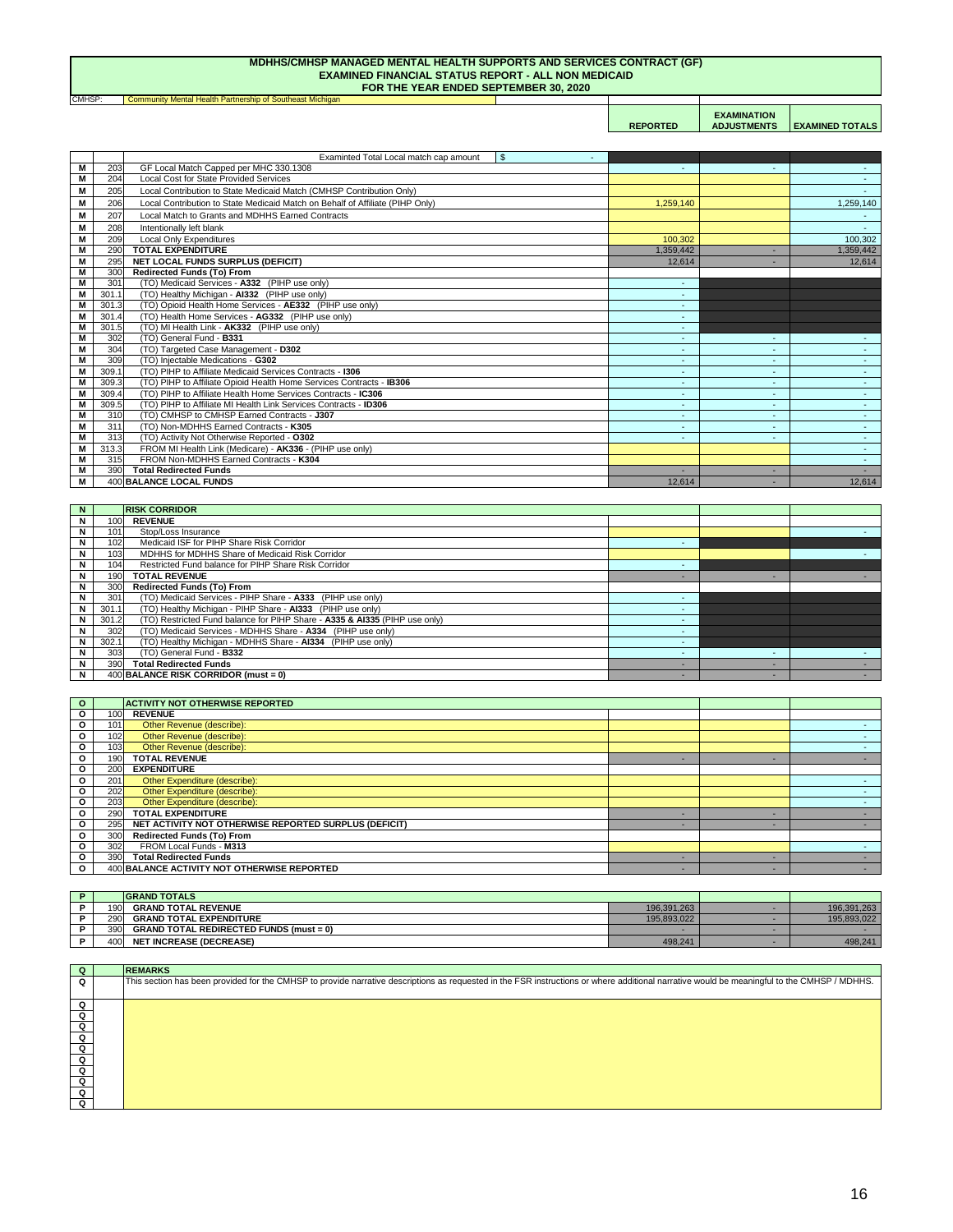**Community Mental Health Partnership of Southeast Michigan REPORTED EXAMINATION ADJUSTMENTS EXAMINED TOTALS** CMHSP:

#### **MDHHS/CMHSP MANAGED MENTAL HEALTH SUPPORTS AND SERVICES CONTRACT (GF) EXAMINED FINANCIAL STATUS REPORT - ALL NON MEDICAID FOR THE YEAR ENDED SEPTEMBER 30, 2020**

| Q                                                                                                                                                                                                                                            | <b>REMARKS</b>                                                                                                                                                                              |
|----------------------------------------------------------------------------------------------------------------------------------------------------------------------------------------------------------------------------------------------|---------------------------------------------------------------------------------------------------------------------------------------------------------------------------------------------|
| Q                                                                                                                                                                                                                                            | This section has been provided for the CMHSP to provide narrative descriptions as requested in the FSR instructions or where additional narrative would be meaningful to the CMHSP / MDHHS. |
|                                                                                                                                                                                                                                              |                                                                                                                                                                                             |
| Q                                                                                                                                                                                                                                            |                                                                                                                                                                                             |
| $\Omega$                                                                                                                                                                                                                                     |                                                                                                                                                                                             |
| $\overline{Q}$                                                                                                                                                                                                                               |                                                                                                                                                                                             |
|                                                                                                                                                                                                                                              |                                                                                                                                                                                             |
|                                                                                                                                                                                                                                              |                                                                                                                                                                                             |
| $\overline{q}$                                                                                                                                                                                                                               |                                                                                                                                                                                             |
|                                                                                                                                                                                                                                              |                                                                                                                                                                                             |
|                                                                                                                                                                                                                                              |                                                                                                                                                                                             |
| $\begin{array}{c c} \multicolumn{1}{c }{\textbf{O}} & \multicolumn{1}{c }{\textbf{O}} \\ \multicolumn{1}{c }{\textbf{O}} & \multicolumn{1}{c }{\textbf{O}} \\ \multicolumn{1}{c }{\textbf{O}} & \multicolumn{1}{c }{\textbf{O}} \end{array}$ |                                                                                                                                                                                             |
| Q                                                                                                                                                                                                                                            |                                                                                                                                                                                             |

|      | <b>GRAND TOTALS</b>                            |             |             |
|------|------------------------------------------------|-------------|-------------|
| 1901 | <b>GRAND TOTAL REVENUE</b>                     | 196,391,263 | 196,391,263 |
| 290  | <b>GRAND TOTAL EXPENDITURE</b>                 | 195,893,022 | 195,893,022 |
| 390  | <b>GRAND TOTAL REDIRECTED FUNDS (must = 0)</b> |             |             |
| 4001 | <b>NET INCREASE (DECREASE)</b>                 | 498,241     | 498,241     |

| $\mathbf{o}$ |     | <b>ACTIVITY NOT OTHERWISE REPORTED</b>                |  |  |
|--------------|-----|-------------------------------------------------------|--|--|
| $\mathbf{o}$ | 100 | <b>REVENUE</b>                                        |  |  |
| $\mathbf{o}$ | 101 | Other Revenue (describe):                             |  |  |
| $\mathbf{o}$ | 102 | Other Revenue (describe):                             |  |  |
| $\mathbf{o}$ | 103 | Other Revenue (describe):                             |  |  |
| $\mathbf{o}$ | 190 | <b>TOTAL REVENUE</b>                                  |  |  |
| $\mathbf{o}$ | 200 | <b>EXPENDITURE</b>                                    |  |  |
| $\mathbf{o}$ | 201 | Other Expenditure (describe):                         |  |  |
| $\mathbf{o}$ | 202 | Other Expenditure (describe):                         |  |  |
| $\mathbf{o}$ | 203 | Other Expenditure (describe):                         |  |  |
| $\mathbf{o}$ | 290 | <b>TOTAL EXPENDITURE</b>                              |  |  |
| $\mathbf{o}$ | 295 | NET ACTIVITY NOT OTHERWISE REPORTED SURPLUS (DEFICIT) |  |  |
| $\mathbf{o}$ | 300 | <b>Redirected Funds (To) From</b>                     |  |  |
| $\mathbf{o}$ | 302 | FROM Local Funds - M313                               |  |  |
| $\mathbf{o}$ | 390 | <b>Total Redirected Funds</b>                         |  |  |
| $\mathbf{o}$ |     | 400 BALANCE ACTIVITY NOT OTHERWISE REPORTED           |  |  |

|                |       | Examinted Total Local match cap amount<br>$\mathcal{S}$<br>$\sim$             |                          |    |                 |
|----------------|-------|-------------------------------------------------------------------------------|--------------------------|----|-----------------|
| M              | 203   | GF Local Match Capped per MHC 330.1308                                        |                          |    |                 |
| M              | 204   | <b>Local Cost for State Provided Services</b>                                 |                          |    | $\sim$ 10 $\pm$ |
| Μ              | 205   | Local Contribution to State Medicaid Match (CMHSP Contribution Only)          |                          |    |                 |
| M              | 206   | Local Contribution to State Medicaid Match on Behalf of Affiliate (PIHP Only) | 1,259,140                |    | 1,259,140       |
| M              | 207   | Local Match to Grants and MDHHS Earned Contracts                              |                          |    |                 |
| M              | 208   | Intentionally left blank                                                      |                          |    | $\sim$          |
| M              | 209   | <b>Local Only Expenditures</b>                                                | 100,302                  |    | 100,302         |
| M              | 290   | <b>TOTAL EXPENDITURE</b>                                                      | 1,359,442                | ۰  | 1,359,442       |
| M              | 295   | <b>NET LOCAL FUNDS SURPLUS (DEFICIT)</b>                                      | 12,614                   |    | 12,614          |
| M              | 300   | <b>Redirected Funds (To) From</b>                                             |                          |    |                 |
| M              | 301   | (TO) Medicaid Services - A332 (PIHP use only)                                 | $\sim$                   |    |                 |
| M              | 301.1 | (TO) Healthy Michigan - AI332 (PIHP use only)                                 |                          |    |                 |
| M              | 301.3 | (TO) Opioid Health Home Services - AE332 (PIHP use only)                      |                          |    |                 |
| M              | 301.4 | (TO) Health Home Services - AG332 (PIHP use only)                             | $\sim$                   |    |                 |
| M              | 301.5 | (TO) MI Health Link - AK332 (PIHP use only)                                   | $\sim$                   |    |                 |
| M              | 302   | (TO) General Fund - B331                                                      | $\overline{\phantom{a}}$ |    |                 |
| M              | 304   | (TO) Targeted Case Management - D302                                          | $\sim$                   | ٠  | $\sim$          |
| $\overline{M}$ | 309   | (TO) Injectable Medications - G302                                            |                          |    |                 |
| M              | 309.1 | (TO) PIHP to Affiliate Medicaid Services Contracts - 1306                     | $\sim$                   | ٠  | $\sim 10$       |
| M              | 309.3 | (TO) PIHP to Affiliate Opioid Health Home Services Contracts - IB306          |                          |    | $\sim$ .        |
| M              | 309.4 | (TO) PIHP to Affiliate Health Home Services Contracts - IC306                 | $\sim$                   | ٠  | $\sim 10$       |
| M              | 309.5 | (TO) PIHP to Affiliate MI Health Link Services Contracts - ID306              |                          |    | $\sim$          |
| M              | 310   | (TO) CMHSP to CMHSP Earned Contracts - J307                                   |                          | ۰. | $\sim$          |
| M              | 311   | (TO) Non-MDHHS Earned Contracts - K305                                        |                          |    | $\sim$          |
| M              | 313   | (TO) Activity Not Otherwise Reported - 0302                                   | ٠                        |    | $\sim$          |
| M              | 313.3 | FROM MI Health Link (Medicare) - AK336 - (PIHP use only)                      |                          |    | $\sim$          |
| M              | 315   | FROM Non-MDHHS Earned Contracts - K304                                        |                          |    | $\sim$          |
| M              | 390   | <b>Total Redirected Funds</b>                                                 |                          |    |                 |
| M              |       | <b>400 BALANCE LOCAL FUNDS</b>                                                | 12,614                   |    | 12,614          |

| N. |       | <b>RISK CORRIDOR</b>                                                       |  |  |
|----|-------|----------------------------------------------------------------------------|--|--|
| N  | 100   | <b>REVENUE</b>                                                             |  |  |
| N  | 101   | Stop/Loss Insurance                                                        |  |  |
| N  | 102   | Medicaid ISF for PIHP Share Risk Corridor                                  |  |  |
| N  | 103   | MDHHS for MDHHS Share of Medicaid Risk Corridor                            |  |  |
| N  | 104   | Restricted Fund balance for PIHP Share Risk Corridor                       |  |  |
| N  | 190   | <b>TOTAL REVENUE</b>                                                       |  |  |
| N  | 300   | <b>Redirected Funds (To) From</b>                                          |  |  |
| N  | 301   | (TO) Medicaid Services - PIHP Share - A333 (PIHP use only)                 |  |  |
| N  | 301.1 | (TO) Healthy Michigan - PIHP Share - AI333 (PIHP use only)                 |  |  |
| N. | 301.2 | (TO) Restricted Fund balance for PIHP Share - A335 & AI335 (PIHP use only) |  |  |
| N  | 302   | (TO) Medicaid Services - MDHHS Share - A334 (PIHP use only)                |  |  |
| N  | 302.1 | (TO) Healthy Michigan - MDHHS Share - AI334 (PIHP use only)                |  |  |
| N  | 303   | (TO) General Fund - B332                                                   |  |  |
| N  | 390   | <b>Total Redirected Funds</b>                                              |  |  |
| N  |       | $400$ BALANCE RISK CORRIDOR (must = 0)                                     |  |  |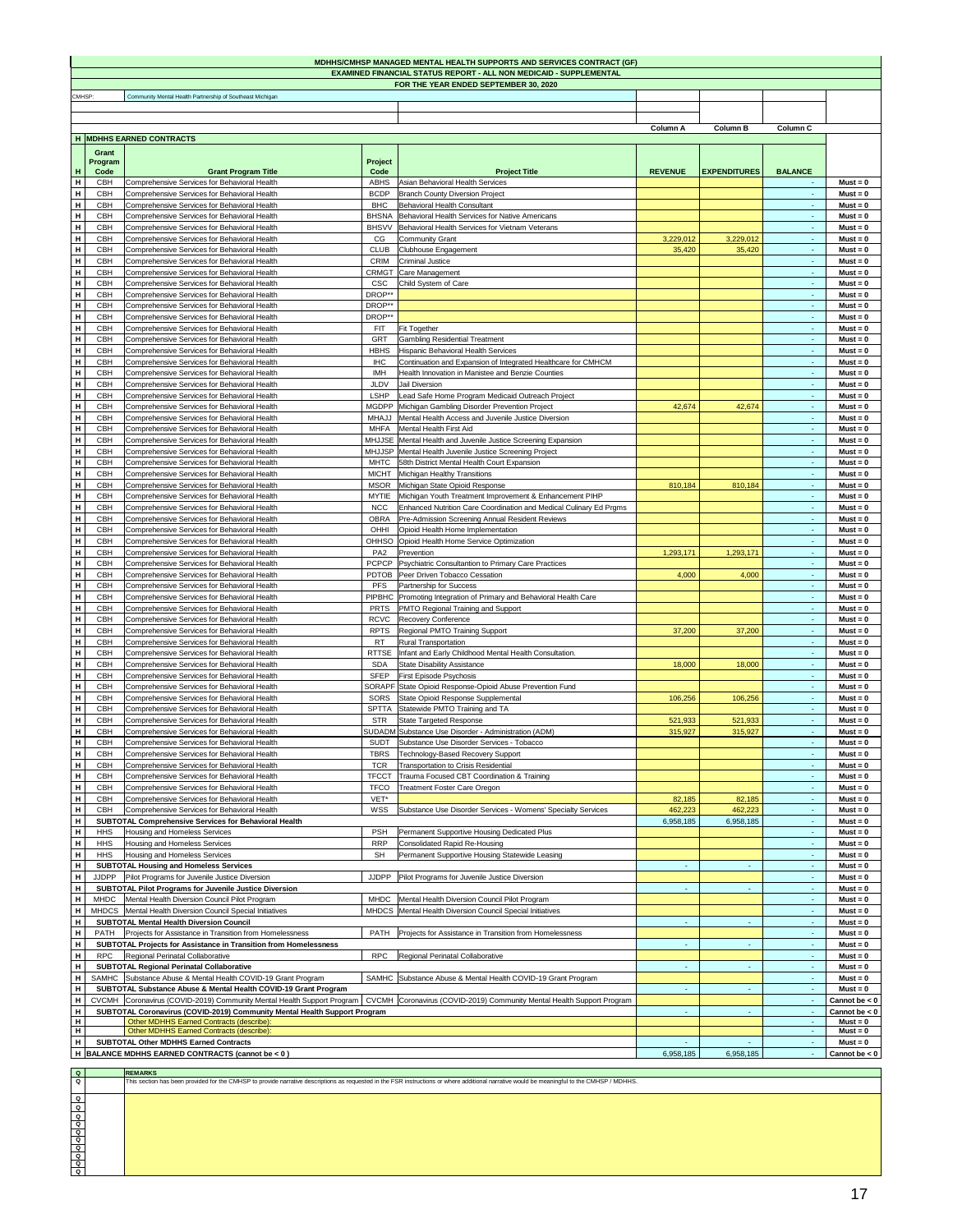|        |                          |                                                                                                                                    |                              | <b>MDHHS/CMHSP MANAGED MENTAL HEALTH SUPPORTS AND SERVICES CONTRACT (GF)</b>                               |                 |                     |                           |                               |
|--------|--------------------------|------------------------------------------------------------------------------------------------------------------------------------|------------------------------|------------------------------------------------------------------------------------------------------------|-----------------|---------------------|---------------------------|-------------------------------|
|        |                          |                                                                                                                                    |                              | <b>EXAMINED FINANCIAL STATUS REPORT - ALL NON MEDICAID - SUPPLEMENTAL</b>                                  |                 |                     |                           |                               |
| CMHSP: |                          | Community Mental Health Partnership of Southeast Michigan                                                                          |                              | FOR THE YEAR ENDED SEPTEMBER 30, 2020                                                                      |                 |                     |                           |                               |
|        |                          |                                                                                                                                    |                              |                                                                                                            |                 |                     |                           |                               |
|        |                          |                                                                                                                                    |                              |                                                                                                            |                 |                     |                           |                               |
|        |                          | H MDHHS EARNED CONTRACTS                                                                                                           |                              |                                                                                                            | <b>Column A</b> | <b>Column B</b>     | <b>Column C</b>           |                               |
|        | <b>Grant</b>             |                                                                                                                                    |                              |                                                                                                            |                 |                     |                           |                               |
|        | Program                  |                                                                                                                                    | <b>Project</b>               |                                                                                                            |                 |                     |                           |                               |
| H      | Code                     | <b>Grant Program Title</b>                                                                                                         | Code                         | <b>Project Title</b>                                                                                       | <b>REVENUE</b>  | <b>EXPENDITURES</b> | <b>BALANCE</b>            |                               |
| H      | <b>CBH</b>               | Comprehensive Services for Behavioral Health                                                                                       | <b>ABHS</b>                  | Asian Behavioral Health Services                                                                           |                 |                     | $\sim$                    | $Must = 0$                    |
| H<br>H | <b>CBH</b><br><b>CBH</b> | Comprehensive Services for Behavioral Health<br>Comprehensive Services for Behavioral Health                                       | <b>BCDP</b><br><b>BHC</b>    | <b>Branch County Diversion Project</b><br>Behavioral Health Consultant                                     |                 |                     | $\sim$<br>$\sim$          | $Must = 0$<br>$Must = 0$      |
| H      | <b>CBH</b>               | Comprehensive Services for Behavioral Health                                                                                       | <b>BHSNA</b>                 | Behavioral Health Services for Native Americans                                                            |                 |                     | $\sim$                    | $Must = 0$                    |
| H      | <b>CBH</b>               | Comprehensive Services for Behavioral Health                                                                                       | <b>BHSVV</b>                 | Behavioral Health Services for Vietnam Veterans                                                            |                 |                     | $\sim$                    | $Must = 0$                    |
| H      | <b>CBH</b>               | Comprehensive Services for Behavioral Health                                                                                       | CG                           | Community Grant                                                                                            | 3,229,012       | 3,229,012           | $\sim$                    | $Must = 0$                    |
| H      | <b>CBH</b>               | Comprehensive Services for Behavioral Health                                                                                       | <b>CLUB</b>                  | Clubhouse Engagement                                                                                       | 35,420          | 35,420              | $\sim$                    | $Must = 0$                    |
| H<br>H | <b>CBH</b><br><b>CBH</b> | Comprehensive Services for Behavioral Health<br>Comprehensive Services for Behavioral Health                                       | <b>CRIM</b><br><b>CRMGT</b>  | <b>Criminal Justice</b>                                                                                    |                 |                     | $\sim$                    | $Must = 0$<br>$Must = 0$      |
| H      | <b>CBH</b>               | Comprehensive Services for Behavioral Health                                                                                       | <b>CSC</b>                   | Care Management<br>Child System of Care                                                                    |                 |                     | $\sim$<br>$\sim$ 10 $\pm$ | $Must = 0$                    |
| H      | <b>CBH</b>               | Comprehensive Services for Behavioral Health                                                                                       | DROP**                       |                                                                                                            |                 |                     | $\sim$ 10 $\pm$           | $Must = 0$                    |
| H      | <b>CBH</b>               | Comprehensive Services for Behavioral Health                                                                                       | DROP**                       |                                                                                                            |                 |                     | $\sim$ 10 $\pm$           | $Must = 0$                    |
| H      | <b>CBH</b>               | Comprehensive Services for Behavioral Health                                                                                       | DROP**                       |                                                                                                            |                 |                     | $\sim$                    | $Must = 0$                    |
| H      | <b>CBH</b>               | Comprehensive Services for Behavioral Health                                                                                       | <b>FIT</b>                   | <b>Fit Together</b>                                                                                        |                 |                     | $\sim$                    | $Must = 0$                    |
| H<br>H | <b>CBH</b><br><b>CBH</b> | Comprehensive Services for Behavioral Health<br>Comprehensive Services for Behavioral Health                                       | <b>GRT</b><br><b>HBHS</b>    | <b>Gambling Residential Treatment</b><br>Hispanic Behavioral Health Services                               |                 |                     | $\sim$<br>$\sim$          | $Must = 0$<br>$Must = 0$      |
| H      | <b>CBH</b>               | Comprehensive Services for Behavioral Health                                                                                       | <b>IHC</b>                   | Continuation and Expansion of Integrated Healthcare for CMHCM                                              |                 |                     | $\sim$                    | $Must = 0$                    |
| H      | <b>CBH</b>               | Comprehensive Services for Behavioral Health                                                                                       | <b>IMH</b>                   | Health Innovation in Manistee and Benzie Counties                                                          |                 |                     | $\sim$                    | $Must = 0$                    |
| H      | <b>CBH</b>               | Comprehensive Services for Behavioral Health                                                                                       | <b>JLDV</b>                  | <b>Jail Diversion</b>                                                                                      |                 |                     | $\sim$                    | $Must = 0$                    |
| H      | <b>CBH</b>               | Comprehensive Services for Behavioral Health                                                                                       | <b>LSHP</b>                  | Lead Safe Home Program Medicaid Outreach Project                                                           |                 |                     | $\sim$                    | $Must = 0$                    |
| H<br>H | <b>CBH</b><br><b>CBH</b> | Comprehensive Services for Behavioral Health<br>Comprehensive Services for Behavioral Health                                       | MHAJJ                        | MGDPP Michigan Gambling Disorder Prevention Project<br>Mental Health Access and Juvenile Justice Diversion | 42,674          | 42,674              | $\sim$<br>$\sim$          | $Must = 0$<br>$Must = 0$      |
| H      | <b>CBH</b>               | Comprehensive Services for Behavioral Health                                                                                       | <b>MHFA</b>                  | Mental Health First Aid                                                                                    |                 |                     | $\sim$                    | $Must = 0$                    |
| H      | <b>CBH</b>               | Comprehensive Services for Behavioral Health                                                                                       |                              | MHJJSE   Mental Health and Juvenile Justice Screening Expansion                                            |                 |                     | $\sim$                    | $Must = 0$                    |
| H      | <b>CBH</b>               | Comprehensive Services for Behavioral Health                                                                                       |                              | MHJJSP   Mental Health Juvenile Justice Screening Project                                                  |                 |                     | $\sim$                    | $Must = 0$                    |
| H      | <b>CBH</b>               | Comprehensive Services for Behavioral Health                                                                                       | <b>MHTC</b>                  | 58th District Mental Health Court Expansion                                                                |                 |                     | $\sim$                    | $Must = 0$                    |
| H      | <b>CBH</b>               | Comprehensive Services for Behavioral Health                                                                                       | <b>MICHT</b>                 | Michigan Healthy Transitions                                                                               |                 |                     | $\sim$                    | $Must = 0$                    |
| H<br>H | <b>CBH</b><br><b>CBH</b> | Comprehensive Services for Behavioral Health<br>Comprehensive Services for Behavioral Health                                       | <b>MSOR</b><br><b>MYTIE</b>  | Michigan State Opioid Response<br>Michigan Youth Treatment Improvement & Enhancement PIHP                  | 810,184         | 810,184             | $\sim$<br>$\sim$          | $Must = 0$<br>$Must = 0$      |
| H      | <b>CBH</b>               | Comprehensive Services for Behavioral Health                                                                                       | <b>NCC</b>                   | Enhanced Nutrition Care Coordination and Medical Culinary Ed Prgms                                         |                 |                     | $\sim$                    | $Must = 0$                    |
| H      | <b>CBH</b>               | Comprehensive Services for Behavioral Health                                                                                       | <b>OBRA</b>                  | <b>Pre-Admission Screening Annual Resident Reviews</b>                                                     |                 |                     | $\sim$                    | $Must = 0$                    |
| H      | <b>CBH</b>               | Comprehensive Services for Behavioral Health                                                                                       | <b>OHHI</b>                  | Opioid Health Home Implementation                                                                          |                 |                     | $\sim$                    | $Must = 0$                    |
| H      | <b>CBH</b>               | Comprehensive Services for Behavioral Health                                                                                       |                              | OHHSO   Opioid Health Home Service Optimization                                                            |                 |                     | $\sim$                    | $Must = 0$                    |
| H<br>H | <b>CBH</b>               | Comprehensive Services for Behavioral Health                                                                                       | PA <sub>2</sub>              | Prevention                                                                                                 | 1,293,171       | 1,293,171           | $\sim$                    | $Must = 0$                    |
| H      | <b>CBH</b><br><b>CBH</b> | Comprehensive Services for Behavioral Health<br>Comprehensive Services for Behavioral Health                                       | <b>PCPCP</b><br><b>PDTOB</b> | <b>Psychiatric Consultantion to Primary Care Practices</b><br>Peer Driven Tobacco Cessation                | 4,000           | 4,000               | $\sim$<br>$\sim$          | $Must = 0$<br>$Must = 0$      |
| H      | <b>CBH</b>               | Comprehensive Services for Behavioral Health                                                                                       | <b>PFS</b>                   | <b>Partnership for Success</b>                                                                             |                 |                     | $\sim$                    | $Must = 0$                    |
| H      | <b>CBH</b>               | Comprehensive Services for Behavioral Health                                                                                       |                              | PIPBHC Promoting Integration of Primary and Behavioral Health Care                                         |                 |                     | $\sim$                    | $Must = 0$                    |
| H      | <b>CBH</b>               | Comprehensive Services for Behavioral Health                                                                                       | <b>PRTS</b>                  | <b>PMTO Regional Training and Support</b>                                                                  |                 |                     | $\sim$                    | $Must = 0$                    |
| H      | <b>CBH</b>               | Comprehensive Services for Behavioral Health                                                                                       | <b>RCVC</b>                  | <b>Recovery Conference</b>                                                                                 |                 |                     | $\sim$                    | $Must = 0$                    |
| H<br>H | <b>CBH</b><br><b>CBH</b> | Comprehensive Services for Behavioral Health<br>Comprehensive Services for Behavioral Health                                       | <b>RPTS</b><br><b>RT</b>     | Regional PMTO Training Support<br><b>Rural Transportation</b>                                              | 37,200          | 37,200              | $\sim$<br>$\sim$          | $Must = 0$<br>$Must = 0$      |
| H      | <b>CBH</b>               | Comprehensive Services for Behavioral Health                                                                                       | <b>RTTSE</b>                 | Infant and Early Childhood Mental Health Consultation.                                                     |                 |                     | $\sim$                    | $Must = 0$                    |
| H      | <b>CBH</b>               | Comprehensive Services for Behavioral Health                                                                                       | <b>SDA</b>                   | <b>State Disability Assistance</b>                                                                         | 18,000          | 18,000              | $\sim$                    | $Must = 0$                    |
| H      | <b>CBH</b>               | Comprehensive Services for Behavioral Health                                                                                       | <b>SFEP</b>                  | <b>First Episode Psychosis</b>                                                                             |                 |                     | $\sim$                    | $Must = 0$                    |
| H      | <b>CBH</b>               | Comprehensive Services for Behavioral Health                                                                                       |                              | SORAPF State Opioid Response-Opioid Abuse Prevention Fund                                                  |                 |                     | $\sim$                    | $Must = 0$                    |
| H      | <b>CBH</b>               | Comprehensive Services for Behavioral Health                                                                                       | <b>SORS</b>                  | State Opioid Response Supplemental                                                                         | 106,256         | 106,256             | $\sim$                    | $Must = 0$                    |
| H<br>H | <b>CBH</b><br><b>CBH</b> | Comprehensive Services for Behavioral Health<br>Comprehensive Services for Behavioral Health                                       | <b>SPTTA</b><br><b>STR</b>   | Statewide PMTO Training and TA<br>State Targeted Response                                                  | 521,933         | 521,933             | $\sim$<br>$\sim$          | $Must = 0$<br>$Must = 0$      |
| H      | <b>CBH</b>               | Comprehensive Services for Behavioral Health                                                                                       |                              | SUDADM Substance Use Disorder - Administration (ADM)                                                       | 315,927         | 315,927             | $\sim$                    | $Must = 0$                    |
| H      | <b>CBH</b>               | Comprehensive Services for Behavioral Health                                                                                       | <b>SUDT</b>                  | Substance Use Disorder Services - Tobacco                                                                  |                 |                     | $\sim$                    | $Must = 0$                    |
| H      | <b>CBH</b>               | Comprehensive Services for Behavioral Health                                                                                       | <b>TBRS</b>                  | Technology-Based Recovery Support                                                                          |                 |                     | $\sim$                    | $Must = 0$                    |
| H      | <b>CBH</b>               | Comprehensive Services for Behavioral Health                                                                                       | <b>TCR</b>                   | <b>Transportation to Crisis Residential</b>                                                                |                 |                     | $\sim$                    | $Must = 0$                    |
| H      | <b>CBH</b>               | Comprehensive Services for Behavioral Health                                                                                       | <b>TFCCT</b>                 | Trauma Focused CBT Coordination & Training                                                                 |                 |                     | $\sim$                    | $Must = 0$                    |
| H<br>H | <b>CBH</b><br><b>CBH</b> | Comprehensive Services for Behavioral Health<br>Comprehensive Services for Behavioral Health                                       | <b>TFCO</b><br>VET*          | <b>Treatment Foster Care Oregon</b>                                                                        | 82,185          | 82,185              | $\sim$<br>$\sim$          | $Must = 0$<br>$Must = 0$      |
| H      | <b>CBH</b>               | Comprehensive Services for Behavioral Health                                                                                       | <b>WSS</b>                   | Substance Use Disorder Services - Womens' Specialty Services                                               | 462,223         | 462,223             | $\sim$                    | $Must = 0$                    |
| H      |                          | <b>SUBTOTAL Comprehensive Services for Behavioral Health</b>                                                                       |                              |                                                                                                            | 6,958,185       | 6,958,185           | $\sim$                    | $Must = 0$                    |
| H      | <b>HHS</b>               | Housing and Homeless Services                                                                                                      | <b>PSH</b>                   | Permanent Supportive Housing Dedicated Plus                                                                |                 |                     | $\sim$                    | $Must = 0$                    |
| H      | <b>HHS</b>               | Housing and Homeless Services                                                                                                      | <b>RRP</b>                   | Consolidated Rapid Re-Housing                                                                              |                 |                     | $\sim$                    | $Must = 0$                    |
| H<br>H | <b>HHS</b>               | Housing and Homeless Services                                                                                                      | <b>SH</b>                    | Permanent Supportive Housing Statewide Leasing                                                             |                 |                     | $\sim$                    | $Must = 0$<br>$Must = 0$      |
| H      | <b>JJDPP</b>             | <b>SUBTOTAL Housing and Homeless Services</b><br>Pilot Programs for Juvenile Justice Diversion                                     | <b>JJDPP</b>                 | Pilot Programs for Juvenile Justice Diversion                                                              |                 | $\sim$              | $\sim$<br>$\sim$          | $Must = 0$                    |
| H      |                          | <b>SUBTOTAL Pilot Programs for Juvenile Justice Diversion</b>                                                                      |                              |                                                                                                            |                 |                     | $\sim$                    | $Must = 0$                    |
| H      | <b>MHDC</b>              | Mental Health Diversion Council Pilot Program                                                                                      | MHDC                         | Mental Health Diversion Council Pilot Program                                                              |                 |                     | $\sim$                    | $Must = 0$                    |
| H      |                          | MHDCS   Mental Health Diversion Council Special Initiatives                                                                        |                              | <b>MHDCS</b>   Mental Health Diversion Council Special Initiatives                                         |                 |                     | $\sim$                    | $Must = 0$                    |
| H      |                          | <b>SUBTOTAL Mental Health Diversion Council</b>                                                                                    |                              |                                                                                                            |                 | $\sim$              | $\sim$                    | $Must = 0$                    |
| H<br>H | <b>PATH</b>              | Projects for Assistance in Transition from Homelessness<br><b>SUBTOTAL Projects for Assistance in Transition from Homelessness</b> | <b>PATH</b>                  | Projects for Assistance in Transition from Homelessness                                                    |                 | $\sim$              | $\sim$<br>$\sim$          | $Must = 0$<br>$Must = 0$      |
| H      | <b>RPC</b>               | Regional Perinatal Collaborative                                                                                                   | <b>RPC</b>                   | Regional Perinatal Collaborative                                                                           |                 |                     | $\sim$                    | $Must = 0$                    |
| H      |                          | <b>SUBTOTAL Regional Perinatal Collaborative</b>                                                                                   |                              |                                                                                                            |                 | $\sim$              | $\sim$                    | $Must = 0$                    |
| H      |                          | SAMHC Substance Abuse & Mental Health COVID-19 Grant Program                                                                       |                              | SAMHC Substance Abuse & Mental Health COVID-19 Grant Program                                               |                 |                     | $\sim$                    | $Must = 0$                    |
| H      |                          | <b>SUBTOTAL Substance Abuse &amp; Mental Health COVID-19 Grant Program</b>                                                         |                              |                                                                                                            |                 | $\sim$              | $\sim$                    | $Must = 0$                    |
| H      |                          | CVCMH Coronavirus (COVID-2019) Community Mental Health Support Program                                                             |                              | CVCMH Coronavirus (COVID-2019) Community Mental Health Support Program                                     |                 |                     | $\sim$                    | Cannot be $< 0$               |
| H<br>H |                          | <b>SUBTOTAL Coronavirus (COVID-2019) Community Mental Health Support Program</b><br>Other MDHHS Earned Contracts (describe):       |                              |                                                                                                            |                 | $\sim$              | $\sim$                    | Cannot be $< 0$<br>$Must = 0$ |
| H      |                          | Other MDHHS Earned Contracts (describe):                                                                                           |                              |                                                                                                            |                 |                     | $\sim$                    | $Must = 0$                    |
| Н      |                          | <b>SUBTOTAL Other MDHHS Earned Contracts</b>                                                                                       |                              |                                                                                                            |                 |                     |                           | $Must = 0$                    |
|        |                          | H  BALANCE MDHHS EARNED CONTRACTS (cannot be $< 0$ )                                                                               |                              |                                                                                                            | 6,958,185       | 6,958,185           | $\sim$                    | Cannot be $< 0$               |

|   | <b>REMARKS</b>                                                                                                                                                                              |
|---|---------------------------------------------------------------------------------------------------------------------------------------------------------------------------------------------|
|   | This section has been provided for the CMHSP to provide narrative descriptions as requested in the FSR instructions or where additional narrative would be meaningful to the CMHSP / MDHHS. |
|   |                                                                                                                                                                                             |
|   |                                                                                                                                                                                             |
| Q |                                                                                                                                                                                             |
|   |                                                                                                                                                                                             |



17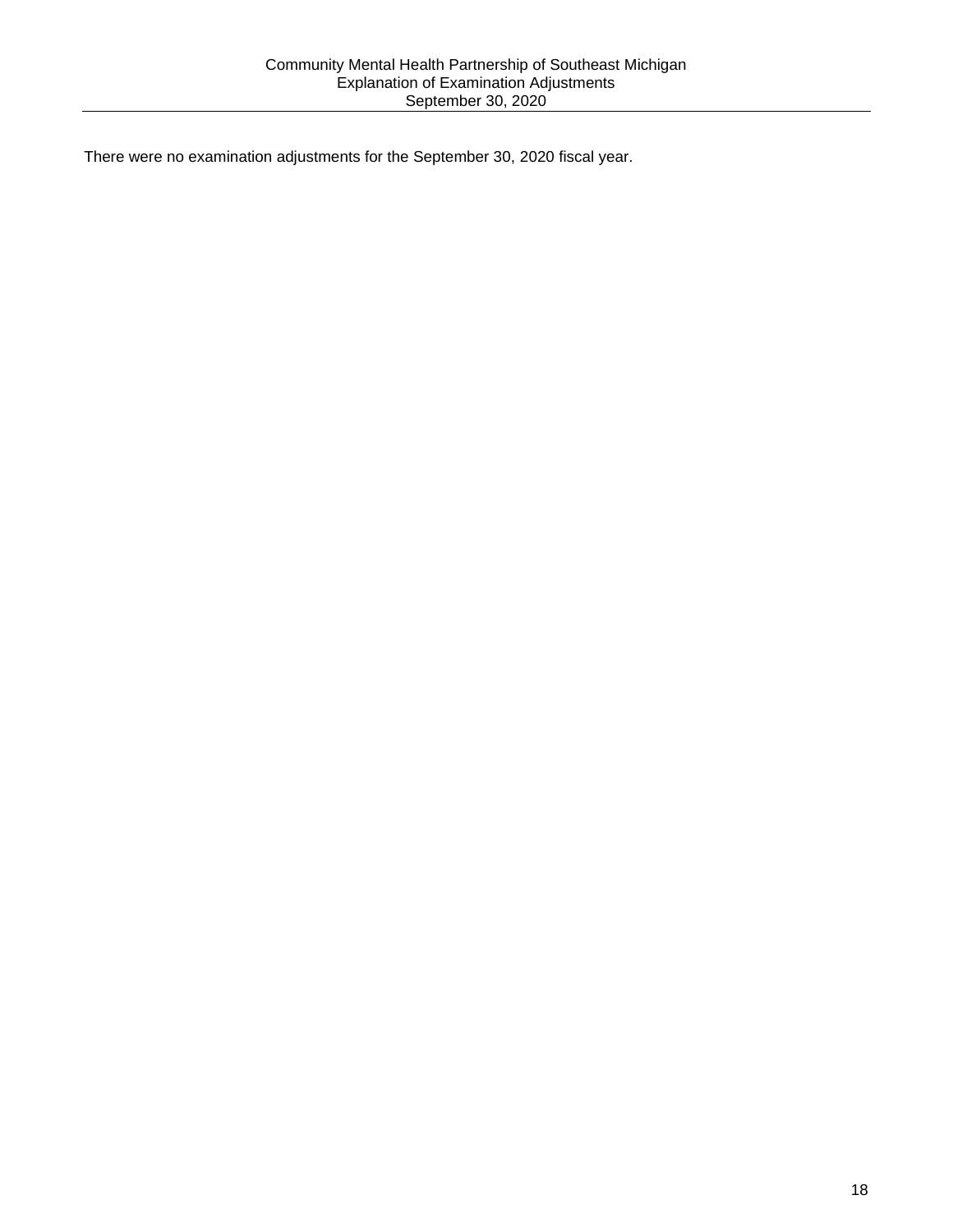There were no examination adjustments for the September 30, 2020 fiscal year.